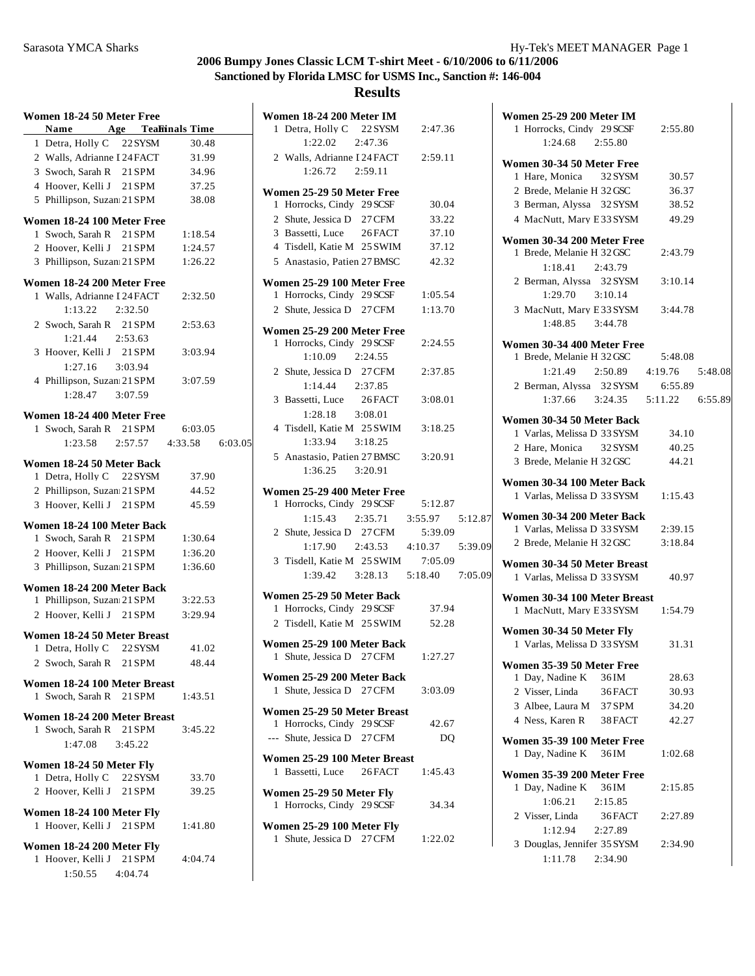| Women 18-24 50 Meter Free                               |         |                                 |  |
|---------------------------------------------------------|---------|---------------------------------|--|
| Name Age Tealinals Time                                 |         |                                 |  |
| 1 Detra, Holly C 22 SYSM                                |         | 30.48                           |  |
| 2 Walls, Adrianne I 24 FACT                             |         | 31.99                           |  |
| 3 Swoch, Sarah R 21 SPM                                 |         | 34.96                           |  |
| 4 Hoover, Kelli J 21 SPM                                |         | 37.25                           |  |
| 5 Phillipson, Suzan 21 SPM                              |         | 38.08                           |  |
| Women 18-24 100 Meter Free                              |         |                                 |  |
| 1 Swoch, Sarah R 21 SPM                                 |         | 1:18.54                         |  |
| 2 Hoover, Kelli J 21 SPM                                |         | 1:24.57                         |  |
| 3 Phillipson, Suzan 21 SPM                              |         | 1:26.22                         |  |
| Women 18-24 200 Meter Free                              |         |                                 |  |
| 1 Walls, Adrianne I 24 FACT                             |         | 2:32.50                         |  |
| 1:13.22                                                 | 2:32.50 |                                 |  |
| 2 Swoch, Sarah R 21 SPM                                 |         | 2:53.63                         |  |
| 1:21.44 2:53.63                                         |         |                                 |  |
| 3 Hoover, Kelli J 21 SPM                                |         | 3:03.94                         |  |
| 1:27.16                                                 | 3:03.94 |                                 |  |
| 4 Phillipson, Suzan 21 SPM                              |         | 3:07.59                         |  |
| $1:28.47$ $3:07.59$                                     |         |                                 |  |
| Women 18-24 400 Meter Free                              |         |                                 |  |
| 1 Swoch, Sarah R 21 SPM                                 |         | 6:03.05                         |  |
|                                                         |         | 1:23.58 2:57.57 4:33.58 6:03.05 |  |
|                                                         |         |                                 |  |
| Women 18-24 50 Meter Back<br>1 Detra, Holly C 22 SYSM   |         | 37.90                           |  |
| 2 Phillipson, Suzan 21 SPM                              |         | 44.52                           |  |
| 3 Hoover, Kelli J 21 SPM                                |         | 45.59                           |  |
|                                                         |         |                                 |  |
| Women 18-24 100 Meter Back                              |         |                                 |  |
| 1 Swoch, Sarah R 21 SPM                                 |         | 1:30.64                         |  |
| 2 Hoover, Kelli J 21 SPM                                |         | 1:36.20                         |  |
| 3 Phillipson, Suzan 21 SPM                              |         | 1:36.60                         |  |
| Women 18-24 200 Meter Back                              |         |                                 |  |
| 1 Phillipson, Suzan 21 SPM                              |         | 3:22.53                         |  |
| 2 Hoover, Kelli J 21 SPM                                |         | 3:29.94                         |  |
| Women 18-24 50 Meter Breast                             |         |                                 |  |
| 1 Detra, Holly C 22 SYSM                                |         | 41.02                           |  |
| 2 Swoch, Sarah R 21 SPM                                 |         | 48.44                           |  |
| Women 18-24 100 Meter Breast                            |         |                                 |  |
| 1 Swoch, Sarah R 21 SPM                                 |         | 1:43.51                         |  |
|                                                         |         |                                 |  |
| Women 18-24 200 Meter Breast<br>1 Swoch, Sarah R 21 SPM |         |                                 |  |
|                                                         |         | 3:45.22                         |  |
| $1:47.08$ $3:45.22$                                     |         |                                 |  |
| Women 18-24 50 Meter Fly                                |         |                                 |  |
| 1 Detra, Holly C 22 SYSM                                |         | 33.70                           |  |
| 2 Hoover, Kelli J 21 SPM                                |         | 39.25                           |  |
| Women 18-24 100 Meter Fly                               |         |                                 |  |
| 1 Hoover, Kelli J 21 SPM                                |         | 1:41.80                         |  |
| Women 18-24 200 Meter Fly                               |         |                                 |  |
| 1 Hoover, Kelli J 21 SPM 4:04.74                        |         |                                 |  |
| 1:50.55 4:04.74                                         |         |                                 |  |
|                                                         |         |                                 |  |

| <b>Women 18-24 200 Meter IM</b>                                |         |                 |         |
|----------------------------------------------------------------|---------|-----------------|---------|
| 1 Detra, Holly C 22 SYSM                                       |         | 2:47.36         |         |
| 1:22.02 2:47.36                                                |         |                 |         |
| 2 Walls, Adrianne I 24 FACT                                    |         | 2:59.11         |         |
| 1:26.72 2:59.11                                                |         |                 |         |
| Women 25-29 50 Meter Free                                      |         |                 |         |
| 1 Horrocks, Cindy 29 SCSF                                      |         | 30.04           |         |
| 2 Shute, Jessica D 27 CFM                                      |         | 33.22           |         |
| 3 Bassetti, Luce 26 FACT                                       |         | 37.10           |         |
| 4 Tisdell, Katie M 25 SWIM                                     |         | 37.12           |         |
| 5 Anastasio. Patien 27 BMSC                                    |         | 42.32           |         |
| Women 25-29 100 Meter Free                                     |         |                 |         |
| 1 Horrocks, Cindy 29 SCSF                                      |         | 1:05.54         |         |
| 2 Shute, Jessica D 27 CFM                                      |         | 1:13.70         |         |
| Women 25-29 200 Meter Free                                     |         |                 |         |
| 1 Horrocks, Cindy 29 SCSF                                      |         | 2:24.55         |         |
| 1:10.09  2:24.55                                               |         |                 |         |
| 2 Shute, Jessica D 27 CFM                                      |         | 2:37.85         |         |
| 1:14.44 2:37.85                                                |         |                 |         |
| 3 Bassetti, Luce                                               | 26 FACT | 3:08.01         |         |
| 1:28.18 3:08.01                                                |         |                 |         |
| 4 Tisdell, Katie M 25 SWIM                                     |         | 3:18.25         |         |
| 1:33.94 3:18.25                                                |         |                 |         |
| 5 Anastasio, Patien 27 BMSC                                    |         | 3:20.91         |         |
| $1:36.25$ $3:20.91$                                            |         |                 |         |
|                                                                |         |                 |         |
|                                                                |         |                 |         |
| <b>Women 25-29 400 Meter Free</b><br>1 Horrocks, Cindy 29 SCSF |         | 5:12.87         |         |
| $1:15.43$ $2:35.71$                                            |         | 3:55.97 5:12.87 |         |
| 2 Shute, Jessica D 27 CFM                                      |         | 5:39.09         |         |
| $1:17.90$ $2:43.53$ $4:10.37$                                  |         |                 | 5:39.09 |
| 3 Tisdell, Katie M 25 SWIM 7:05.09                             |         |                 |         |
| 1:39.42 3:28.13 5:18.40 7:05.09                                |         |                 |         |
|                                                                |         |                 |         |
| <b>Women 25-29 50 Meter Back</b>                               |         | 37.94           |         |
| 1 Horrocks, Cindy 29 SCSF<br>2 Tisdell, Katie M 25 SWIM        |         | 52.28           |         |
|                                                                |         |                 |         |
| Women 25-29 100 Meter Back                                     |         |                 |         |
| 1 Shute, Jessica D 27 CFM                                      |         | 1:27.27         |         |
| Women 25-29 200 Meter Back                                     |         |                 |         |
| Shute, Jessica D 27 CFM<br>1                                   |         | 3:03.09         |         |
| Women 25-29 50 Meter Breast                                    |         |                 |         |
| 1 Horrocks, Cindy 29 SCSF                                      |         | 42.67           |         |
| --- Shute, Jessica D 27 CFM                                    |         | D <sub>O</sub>  |         |
|                                                                |         |                 |         |
| Women 25-29 100 Meter Breast<br>Bassetti, Luce 26 FACT<br>1    |         | 1:45.43         |         |
|                                                                |         |                 |         |
| Women 25-29 50 Meter Fly                                       |         |                 |         |
| 1 Horrocks, Cindy 29 SCSF                                      |         | 34.34           |         |
| Women 25-29 100 Meter Fly<br>Shute, Jessica D 27 CFM<br>1      |         | 1:22.02         |         |

| <b>Women 25-29 200 Meter IM</b>                                     |         |  |
|---------------------------------------------------------------------|---------|--|
| 1 Horrocks, Cindy 29 SCSF 2:55.80                                   |         |  |
| 1:24.68 2:55.80                                                     |         |  |
| Women 30-34 50 Meter Free                                           |         |  |
| 1 Hare, Monica 32 SYSM                                              | 30.57   |  |
| 2 Brede, Melanie H 32 GSC                                           | 36.37   |  |
| 3 Berman, Alyssa 32 SYSM 38.52                                      |         |  |
| 4 MacNutt, Mary E 33 SYSM                                           | 49.29   |  |
| Women 30-34 200 Meter Free                                          |         |  |
| 1 Brede, Melanie H 32 GSC                                           | 2:43.79 |  |
| 1:18.41 2:43.79                                                     |         |  |
| 2 Berman, Alyssa 32 SYSM                                            | 3:10.14 |  |
| $1:29.70$ $3:10.14$                                                 |         |  |
| 3 MacNutt, Mary E 33 SYSM                                           | 3:44.78 |  |
| 1:48.85   3:44.78                                                   |         |  |
| <b>Women 30-34 400 Meter Free</b>                                   |         |  |
| 1 Brede, Melanie H 32 GSC                                           | 5:48.08 |  |
| 1:21.49  2:50.89  4:19.76  5:48.08                                  |         |  |
|                                                                     |         |  |
| 2 Berman, Alyssa 32 SYSM 6:55.89<br>1:37.66 3:24.35 5:11.22 6:55.89 |         |  |
|                                                                     |         |  |
| Women 30-34 50 Meter Back                                           |         |  |
| 1 Varlas, Melissa D 33 SYSM                                         | 34.10   |  |
| 2 Hare, Monica 32 SYSM 40.25<br>3 Brede, Melanie H 32 GSC           | 44.21   |  |
|                                                                     |         |  |
| <b>Women 30-34 100 Meter Back</b>                                   |         |  |
| 1 Varlas, Melissa D 33 SYSM 1:15.43                                 |         |  |
| Women 30-34 200 Meter Back                                          |         |  |
| 1 Varlas, Melissa D 33 SYSM 2:39.15                                 |         |  |
| 2 Brede, Melanie H 32 GSC                                           | 3:18.84 |  |
| Women 30-34 50 Meter Breast                                         |         |  |
| 1 Varlas, Melissa D 33 SYSM                                         | 40.97   |  |
|                                                                     |         |  |
| Women 30-34 100 Meter Breast<br>1 MacNutt, Mary E 33 SYSM 1:54.79   |         |  |
|                                                                     |         |  |
| Women 30-34 50 Meter Fly                                            |         |  |
| 1 Varlas, Melissa D 33 SYSM                                         | 31.31   |  |
| Women 35-39 50 Meter Free                                           |         |  |
| 1 Day, Nadine K 36IM                                                | 28.63   |  |
| 2 Visser, Linda<br>36 FACT                                          | 30.93   |  |
| 3 Albee, Laura M 37 SPM                                             | 34.20   |  |
| 4 Ness, Karen R<br>38 FACT                                          | 42.27   |  |
| Women 35-39 100 Meter Free                                          |         |  |
| 1 Day, Nadine K 36IM                                                | 1:02.68 |  |
|                                                                     |         |  |
| Women 35-39 200 Meter Free<br>1 Day, Nadine K 36IM                  | 2:15.85 |  |
| 1:06.21<br>2:15.85                                                  |         |  |
| 2 Visser, Linda<br>36 FACT                                          | 2:27.89 |  |
| 1:12.94<br>2:27.89                                                  |         |  |
| 3 Douglas, Jennifer 35 SYSM                                         | 2:34.90 |  |
| 1:11.78  2:34.90                                                    |         |  |
|                                                                     |         |  |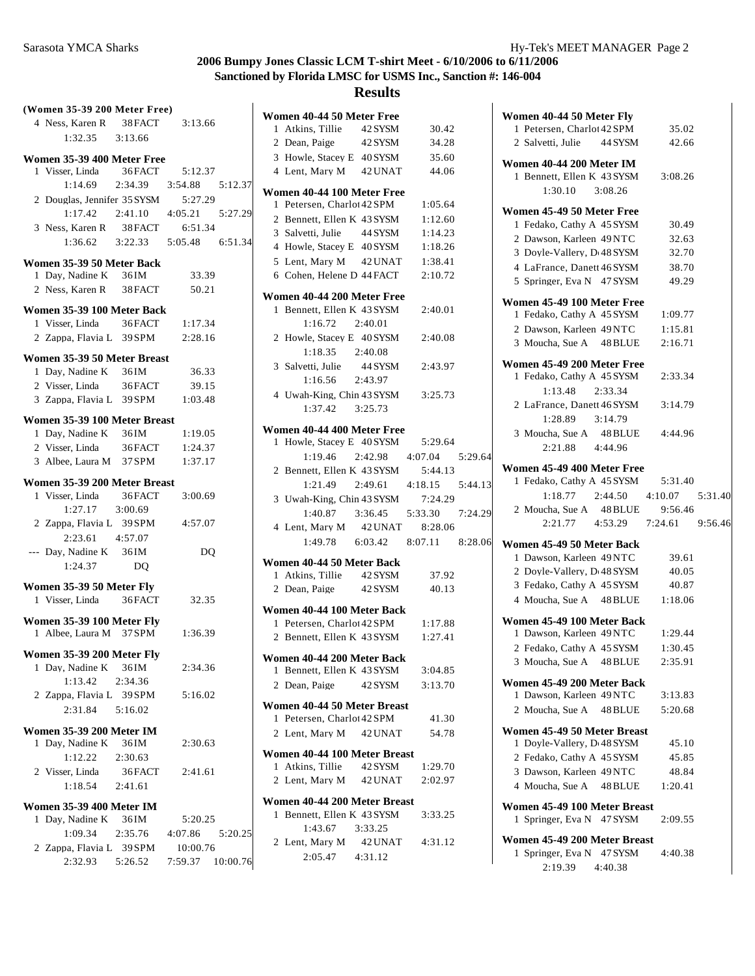# **Results**

**Women 40-44 50 Meter Free**

| (Women 35-39 200 Meter Free)                                  |                |                                         |  |
|---------------------------------------------------------------|----------------|-----------------------------------------|--|
| 4 Ness, Karen R 38 FACT 3:13.66                               |                |                                         |  |
| 1:32.35 3:13.66                                               |                |                                         |  |
|                                                               |                |                                         |  |
| Women 35-39 400 Meter Free<br>1 Visser, Linda 36 FACT 5:12.37 |                |                                         |  |
|                                                               |                | 1:14.69  2:34.39  3:54.88  5:12.37      |  |
|                                                               |                |                                         |  |
| 2 Douglas, Jennifer 35 SYSM 5:27.29                           |                |                                         |  |
|                                                               |                | $1:17.42$ $2:41.10$ $4:05.21$ $5:27.29$ |  |
| 3 Ness, Karen R 38 FACT 6:51.34                               |                |                                         |  |
|                                                               |                | 1:36.62 3:22.33 5:05.48 6:51.34         |  |
| Women 35-39 50 Meter Back                                     |                |                                         |  |
| 1 Day, Nadine K 36IM                                          |                | 33.39                                   |  |
| 2 Ness, Karen R 38 FACT 50.21                                 |                |                                         |  |
|                                                               |                |                                         |  |
| Women 35-39 100 Meter Back                                    |                |                                         |  |
| 1 Visser, Linda 36 FACT 1:17.34<br>2 Zappa, Flavia L 39 SPM   |                |                                         |  |
|                                                               |                | 2:28.16                                 |  |
| Women 35-39 50 Meter Breast                                   |                |                                         |  |
| 1 Day, Nadine K 36IM                                          |                | 36.33                                   |  |
| 2 Visser, Linda 36 FACT 39.15                                 |                |                                         |  |
| 3 Zappa, Flavia L 39 SPM 1:03.48                              |                |                                         |  |
| Women 35-39 100 Meter Breast                                  |                |                                         |  |
|                                                               |                | 1:19.05                                 |  |
| 1 Day, Nadine K 36IM<br>2 Visser, Linda 36FACT                |                | 1:24.37                                 |  |
| 3 Albee, Laura M 37 SPM                                       |                | 1:37.17                                 |  |
|                                                               |                |                                         |  |
| Women 35-39 200 Meter Breast                                  |                |                                         |  |
| 1 Visser, Linda 36 FACT 3:00.69                               |                |                                         |  |
| 1:27.17 3:00.69                                               |                |                                         |  |
| 2 Zappa, Flavia L 39 SPM                                      |                | 4:57.07                                 |  |
| 2:23.61 4:57.07                                               |                |                                         |  |
| --- Day, Nadine K 36IM                                        |                | D <sub>O</sub>                          |  |
| 1:24.37                                                       | D <sub>O</sub> |                                         |  |
| Women 35-39 50 Meter Fly                                      |                |                                         |  |
| 1 Visser, Linda 36 FACT 32.35                                 |                |                                         |  |
|                                                               |                |                                         |  |
| Women 35-39 100 Meter Fly                                     |                |                                         |  |
| 1 Albee, Laura M 37 SPM 1:36.39                               |                |                                         |  |
| <b>Women 35-39 200 Meter Fly</b>                              |                |                                         |  |
| 1 Day, Nadine K 36IM                                          |                | 2:34.36                                 |  |
| 1:13.42                                                       | 2:34.36        |                                         |  |
| 2 Zappa, Flavia L 39 SPM                                      |                | 5:16.02                                 |  |
| 2:31.84   5:16.02                                             |                |                                         |  |
|                                                               |                |                                         |  |
| <b>Women 35-39 200 Meter IM</b>                               |                |                                         |  |
| 1 Day, Nadine K 36IM                                          |                | 2:30.63                                 |  |
| $1:12.22$ $2:30.63$                                           |                |                                         |  |
| 2 Visser, Linda                                               | 36FACT         | 2:41.61                                 |  |
| $1:18.54$ $2:41.61$                                           |                |                                         |  |
| <b>Women 35-39 400 Meter IM</b>                               |                |                                         |  |
| 1 Day, Nadine K 36IM                                          |                | 5:20.25                                 |  |
|                                                               |                | 1:09.34 2:35.76 4:07.86 5:20.25         |  |
| 2 Zappa, Flavia L 39 SPM                                      |                | 10:00.76                                |  |
|                                                               |                | 2:32.93   5:26.52   7:59.37   10:00.76  |  |
|                                                               |                |                                         |  |

| 1 Atkins, Tillie                      | 42 SYSM         | 30.42   |         |
|---------------------------------------|-----------------|---------|---------|
| 2 Dean, Paige                         | 42 SYSM         | 34.28   |         |
| 3 Howle, Stacey E 40 SYSM             |                 |         |         |
|                                       |                 | 35.60   |         |
| 4 Lent, Mary M 42 UNAT                |                 | 44.06   |         |
| Women 40-44 100 Meter Free            |                 |         |         |
| 1 Petersen, Charlot 42 SPM            |                 | 1:05.64 |         |
| 2 Bennett, Ellen K 43 SYSM            |                 | 1:12.60 |         |
| 3 Salvetti, Julie 44 SYSM             |                 | 1:14.23 |         |
| 4 Howle, Stacey E 40 SYSM             |                 | 1:18.26 |         |
| 5 Lent, Mary M 42 UNAT                |                 | 1:38.41 |         |
| 6 Cohen, Helene D 44 FACT             |                 | 2:10.72 |         |
|                                       |                 |         |         |
| Women 40-44 200 Meter Free            |                 |         |         |
| 1 Bennett, Ellen K 43 SYSM            |                 | 2:40.01 |         |
| 1:16.72                               | 2:40.01         |         |         |
| 2 Howle, Stacey E 40 SYSM             |                 | 2:40.08 |         |
| 1:18.35 2:40.08                       |                 |         |         |
| 3 Salvetti, Julie                     | 44 SYSM         | 2:43.97 |         |
| 1:16.56                               | 2:43.97         |         |         |
| 4 Uwah-King, Chin 43 SYSM             |                 | 3:25.73 |         |
| 1:37.42 3:25.73                       |                 |         |         |
| Women 40-44 400 Meter Free            |                 |         |         |
| Howle, Stacey E 40 SYSM<br>1          |                 | 5:29.64 |         |
| 1:19.46                               | 2:42.98 4:07.04 |         | 5:29.64 |
| 2 Bennett, Ellen K 43 SYSM            |                 | 5:44.13 |         |
| 1:21.49  2:49.61  4:18.15  5:44.13    |                 |         |         |
| 3 Uwah-King, Chin 43 SYSM             |                 | 7:24.29 |         |
| 1:40.87    3:36.45                    |                 | 5:33.30 | 7:24.29 |
| 4 Lent, Mary M                        | 42 UNAT         | 8:28.06 |         |
| 1:49.78   6:03.42   8:07.11   8:28.06 |                 |         |         |
|                                       |                 |         |         |
| Women 40-44 50 Meter Back             |                 |         |         |
| 1 Atkins, Tillie 42 SYSM              |                 | 37.92   |         |
| 2 Dean, Paige 42 SYSM                 |                 | 40.13   |         |
| Women 40-44 100 Meter Back            |                 |         |         |
| 1 Petersen, Charlot 42 SPM            |                 |         |         |
|                                       |                 | 1:17.88 |         |
| 2 Bennett, Ellen K 43 SYSM            |                 | 1:27.41 |         |
|                                       |                 |         |         |
| Women 40-44 200 Meter Back            |                 |         |         |
| 1 Bennett, Ellen K 43 SYSM            |                 | 3:04.85 |         |
| 2 Dean, Paige 42 SYSM                 |                 | 3:13.70 |         |
| Women 40-44 50 Meter Breast           |                 |         |         |
| 1 Petersen, Charlot 42 SPM            |                 | 41.30   |         |
| 2 Lent, Mary M 42 UNAT                |                 | 54.78   |         |
|                                       |                 |         |         |
| Women 40-44 100 Meter Breast          |                 |         |         |
| 1 Atkins, Tillie 42 SYSM              |                 | 1:29.70 |         |
| 2 Lent, Mary M 42 UNAT                |                 | 2:02.97 |         |
| Women 40-44 200 Meter Breast          |                 |         |         |
| 1 Bennett, Ellen K 43 SYSM            |                 | 3:33.25 |         |
| 1:43.67                               | 3:33.25         |         |         |
| 2 Lent, Mary M 42 UNAT                |                 | 4:31.12 |         |

| Women 40-44 50 Meter Fly                                   |                  |  |
|------------------------------------------------------------|------------------|--|
| 1 Petersen, Charlot 42 SPM                                 | 35.02            |  |
| 2 Salvetti, Julie 44 SYSM                                  | 42.66            |  |
| Women 40-44 200 Meter IM                                   |                  |  |
| 1 Bennett, Ellen K 43 SYSM                                 | 3:08.26          |  |
| 1:30.10 3:08.26                                            |                  |  |
| Women 45-49 50 Meter Free                                  |                  |  |
| 1 Fedako, Cathy A 45 SYSM                                  | 30.49            |  |
| 2 Dawson, Karleen 49NTC                                    | 32.63            |  |
| 3 Doyle-Vallery, D 48 SYSM                                 | 32.70            |  |
| 4 LaFrance, Danett 46 SYSM                                 | 38.70            |  |
| 5 Springer, Eva N 47 SYSM                                  | 49.29            |  |
| Women 45-49 100 Meter Free                                 |                  |  |
| 1 Fedako, Cathy A 45 SYSM                                  | 1:09.77          |  |
| 2 Dawson, Karleen 49NTC                                    | 1:15.81          |  |
| 3 Moucha, Sue A 48 BLUE                                    | 2:16.71          |  |
| Women 45-49 200 Meter Free                                 |                  |  |
| 1 Fedako, Cathy A 45 SYSM                                  | 2:33.34          |  |
| 1:13.48 2:33.34                                            |                  |  |
| 2 LaFrance, Danett 46 SYSM                                 | 3:14.79          |  |
| 1:28.89 3:14.79                                            |                  |  |
| 3 Moucha, Sue A 48 BLUE                                    | 4:44.96          |  |
| 2:21.88 4:44.96                                            |                  |  |
| Women 45-49 400 Meter Free                                 |                  |  |
| 1 Fedako, Cathy A 45 SYSM 5:31.40                          |                  |  |
| 1:18.77  2:44.50  4:10.07  5:31.40                         |                  |  |
| 2 Moucha, Sue A 48 BLUE 9:56.46                            |                  |  |
| 2:21.77 4:53.29 7:24.61 9:56.46                            |                  |  |
| Women 45-49 50 Meter Back                                  |                  |  |
|                                                            |                  |  |
| 1 Dawson, Karleen 49NTC                                    | 39.61            |  |
| 2 Doyle-Vallery, D 48 SYSM                                 | 40.05            |  |
| 3 Fedako, Cathy A 45 SYSM                                  | 40.87            |  |
| 4 Moucha, Sue A 48 BLUE                                    | 1:18.06          |  |
|                                                            |                  |  |
| Women 45-49 100 Meter Back<br>1 Dawson, Karleen 49NTC      | 1:29.44          |  |
| 2 Fedako, Cathy A 45 SYSM                                  | 1:30.45          |  |
| 3 Moucha, Sue A 48 BLUE                                    | 2:35.91          |  |
|                                                            |                  |  |
| Women 45-49 200 Meter Back                                 |                  |  |
| 1 Dawson, Karleen 49NTC<br>2 Moucha, Sue A 48 BLUE 5:20.68 | 3:13.83          |  |
|                                                            |                  |  |
| Women 45-49 50 Meter Breast                                |                  |  |
| 1 Doyle-Vallery, D 48 SYSM                                 | 45.10            |  |
| 2 Fedako, Cathy A 45 SYSM                                  | 45.85            |  |
| 3 Dawson, Karleen 49NTC<br>4 Moucha, Sue A 48 BLUE         | 48.84<br>1:20.41 |  |
|                                                            |                  |  |
| Women 45-49 100 Meter Breast                               |                  |  |
| 1 Springer, Eva N 47 SYSM                                  | 2:09.55          |  |
| Women 45-49 200 Meter Breast                               |                  |  |
| 1 Springer, Eva N 47 SYSM<br>2:19.39 4:40.38               | 4:40.38          |  |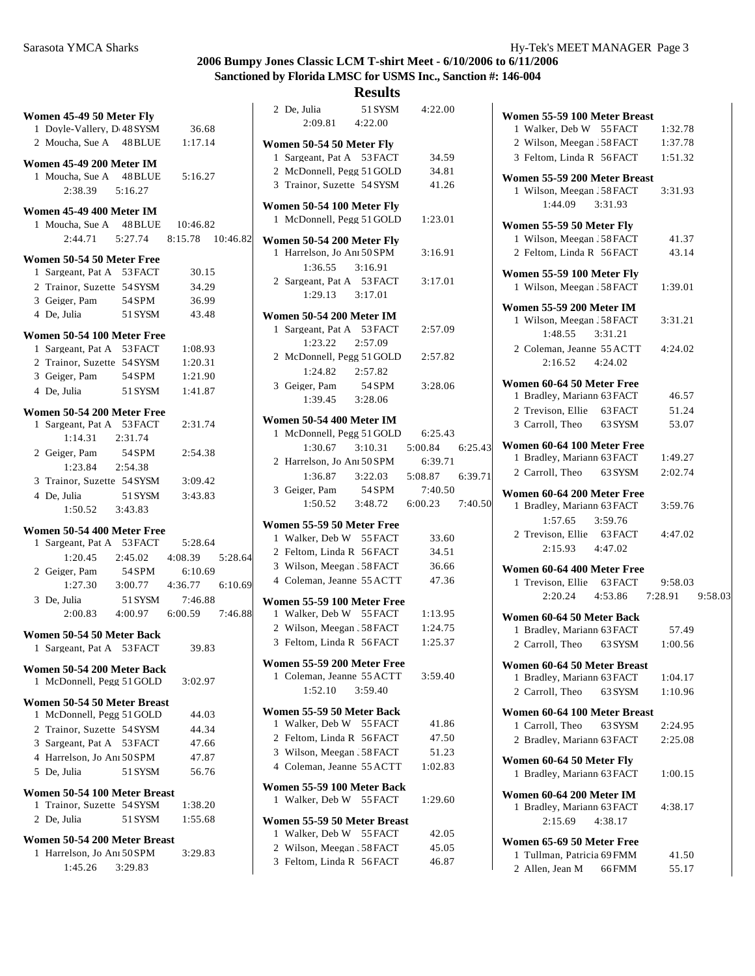| Women 45-49 50 Meter Fly          |                                                    |         |                                         |  |
|-----------------------------------|----------------------------------------------------|---------|-----------------------------------------|--|
|                                   |                                                    |         | 1 Doyle-Vallery, D 48 SYSM 36.68        |  |
|                                   |                                                    |         | 2 Moucha, Sue A 48 BLUE 1:17.14         |  |
| Women 45-49 200 Meter IM          |                                                    |         |                                         |  |
|                                   | 1 Moucha, Sue A 48 BLUE                            |         | 5:16.27                                 |  |
|                                   | $2:38.39$ $5:16.27$                                |         |                                         |  |
|                                   |                                                    |         |                                         |  |
| Women 45-49 400 Meter IM          |                                                    |         | 1 Moucha, Sue A 48 BLUE 10:46.82        |  |
|                                   |                                                    |         | 2:44.71   5:27.74   8:15.78   10:46.82  |  |
|                                   |                                                    |         |                                         |  |
| <b>Women 50-54 50 Meter Free</b>  |                                                    |         |                                         |  |
|                                   | 1 Sargeant, Pat A 53 FACT                          |         | 30.15                                   |  |
|                                   | 2 Trainor, Suzette 54 SYSM<br>3 Geiger, Pam 54 SPM |         | 34.29                                   |  |
|                                   | 4 De, Julia 51 SYSM                                |         | 36.99<br>43.48                          |  |
|                                   |                                                    |         |                                         |  |
| Women 50-54 100 Meter Free        |                                                    |         |                                         |  |
|                                   | 1 Sargeant, Pat A 53 FACT                          |         | 1:08.93                                 |  |
|                                   | 2 Trainor, Suzette 54 SYSM                         |         | 1:20.31                                 |  |
|                                   | 3 Geiger, Pam 54 SPM                               |         | 1:21.90                                 |  |
| 4 De, Julia                       |                                                    | 51 SYSM | 1:41.87                                 |  |
| Women 50-54 200 Meter Free        |                                                    |         |                                         |  |
|                                   |                                                    |         | 1 Sargeant, Pat A 53 FACT 2:31.74       |  |
|                                   | 1:14.31  2:31.74                                   |         |                                         |  |
|                                   | 2 Geiger, Pam 54 SPM                               |         | 2:54.38                                 |  |
|                                   | 1:23.84 2:54.38                                    |         |                                         |  |
|                                   | 3 Trainor, Suzette 54 SYSM                         |         | 3:09.42                                 |  |
| 4 De. Julia                       |                                                    | 51 SYSM | 3:43.83                                 |  |
|                                   | $1:50.52$ $3:43.83$                                |         |                                         |  |
| Women 50-54 400 Meter Free        |                                                    |         |                                         |  |
|                                   |                                                    |         | 1 Sargeant, Pat A 53 FACT 5:28.64       |  |
|                                   |                                                    |         | 1:20.45 2:45.02 4:08.39 5:28.64         |  |
| 2 Geiger, Pam                     |                                                    | 54 SPM  | 6:10.69                                 |  |
|                                   |                                                    |         | $1:27.30$ $3:00.77$ $4:36.77$ $6:10.69$ |  |
| 3 De. Julia                       |                                                    | 51 SYSM | 7:46.88                                 |  |
|                                   |                                                    |         | 2:00.83 4:00.97 6:00.59 7:46.88         |  |
| Women 50-54 50 Meter Back         |                                                    |         |                                         |  |
|                                   | 1 Sargeant, Pat A 53 FACT                          |         | 39.83                                   |  |
| Women 50-54 200 Meter Back        |                                                    |         |                                         |  |
|                                   | 1 McDonnell, Pegg 51 GOLD                          |         | 3:02.97                                 |  |
| Women 50-54 50 Meter Breast       |                                                    |         |                                         |  |
| 1                                 | McDonnell, Pegg 51 GOLD                            |         | 44.03                                   |  |
|                                   | 2 Trainor, Suzette 54 SYSM                         |         | 44.34                                   |  |
|                                   | 3 Sargeant, Pat A 53 FACT                          |         | 47.66                                   |  |
|                                   | 4 Harrelson, Jo Ani 50 SPM                         |         | 47.87                                   |  |
| 5 De, Julia                       |                                                    | 51 SYSM | 56.76                                   |  |
| Women 50-54 100 Meter Breast      |                                                    |         |                                         |  |
|                                   | 1 Trainor, Suzette 54 SYSM                         |         | 1:38.20                                 |  |
| 2 De, Julia                       |                                                    | 51 SYSM | 1:55.68                                 |  |
|                                   |                                                    |         |                                         |  |
| Women 50-54 200 Meter Breast<br>1 | Harrelson, Jo Ani 50 SPM                           |         | 3:29.83                                 |  |
|                                   | 1:45.26                                            | 3:29.83 |                                         |  |
|                                   |                                                    |         |                                         |  |

|        | 2 De, Julia | 51 SYSM 4:22.00<br>2:09.81 4:22.00                                                                    |                |  |
|--------|-------------|-------------------------------------------------------------------------------------------------------|----------------|--|
|        |             | Women 50-54 50 Meter Fly                                                                              |                |  |
|        |             | 1 Sargeant, Pat A 53 FACT                                                                             | 34.59          |  |
|        |             | 2 McDonnell, Pegg 51 GOLD                                                                             | 34.81          |  |
|        |             | 3 Trainor, Suzette 54 SYSM 41.26                                                                      |                |  |
|        |             | Women 50-54 100 Meter Fly<br>1 McDonnell, Pegg 51 GOLD 1:23.01                                        |                |  |
| 2      |             | Women 50-54 200 Meter Fly                                                                             |                |  |
|        |             | 1 Harrelson, Jo Ani 50 SPM                                                                            | 3:16.91        |  |
|        |             | $1:36.55$ $3:16.91$                                                                                   |                |  |
|        |             | 2 Sargeant, Pat A 53 FACT 3:17.01                                                                     |                |  |
|        |             | $1:29.13$ $3:17.01$                                                                                   |                |  |
|        |             | <b>Women 50-54 200 Meter IM</b>                                                                       |                |  |
|        |             | 1 Sargeant, Pat A 53 FACT                                                                             | 2:57.09        |  |
|        |             | 1:23.22  2:57.09                                                                                      |                |  |
|        |             | 2 McDonnell, Pegg 51 GOLD 2:57.82                                                                     |                |  |
|        |             | $1:24.82$ $2:57.82$                                                                                   |                |  |
|        |             | 3 Geiger, Pam 54 SPM                                                                                  | 3:28.06        |  |
|        |             | $1:39.45$ $3:28.06$                                                                                   |                |  |
|        |             |                                                                                                       |                |  |
|        |             | <b>Women 50-54 400 Meter IM</b>                                                                       |                |  |
|        |             | 1 McDonnell, Pegg 51 GOLD 6:25.43                                                                     |                |  |
|        |             | $1:30.67$ $3:10.31$ $5:00.84$ $6:25.43$                                                               |                |  |
|        |             | 2 Harrelson, Jo Ani 50 SPM 6:39.71<br>1:36.87 3:22.03 5:08.87 6:39.71<br>3 Geiger, Pam 54 SPM 7:40.50 |                |  |
|        |             |                                                                                                       |                |  |
|        |             |                                                                                                       |                |  |
|        |             |                                                                                                       |                |  |
|        |             | $1:50.52$ $3:48.72$ $6:00.23$ $7:40.50$                                                               |                |  |
|        |             | Women 55-59 50 Meter Free                                                                             |                |  |
|        |             | 1 Walker, Deb W 55 FACT                                                                               | 33.60          |  |
|        |             | 2 Feltom, Linda R 56 FACT                                                                             | 34.51          |  |
| 4      |             | 3 Wilson, Meegan . 58 FACT                                                                            | 36.66          |  |
|        |             | 4 Coleman, Jeanne 55 ACTT 47.36                                                                       |                |  |
|        |             | Women 55-59 100 Meter Free                                                                            |                |  |
|        |             | 1 Walker, Deb W 55 FACT 1:13.95                                                                       |                |  |
|        |             | 2 Wilson, Meegan . 58 FACT 1:24.75                                                                    |                |  |
|        |             | 3 Feltom, Linda R 56 FACT 1:25.37                                                                     |                |  |
|        |             |                                                                                                       |                |  |
|        |             | Women 55-59 200 Meter Free<br>1 Coleman, Jeanne 55 ACTT                                               | 3:59.40        |  |
|        |             | $1:52.10$ $3:59.40$                                                                                   |                |  |
| 9<br>8 |             | Women 55-59 50 Meter Back                                                                             |                |  |
|        |             | 1 Walker, Deb W 55 FACT                                                                               | 41.86          |  |
|        |             | 2 Feltom, Linda R 56 FACT                                                                             | 47.50          |  |
|        |             | 3 Wilson, Meegan, 58 FACT                                                                             | 51.23          |  |
|        |             | 4 Coleman, Jeanne 55 ACTT                                                                             | 1:02.83        |  |
|        |             | Women 55-59 100 Meter Back                                                                            |                |  |
|        |             | 1 Walker, Deb W 55 FACT                                                                               | 1:29.60        |  |
|        |             |                                                                                                       |                |  |
|        |             | Women 55-59 50 Meter Breast                                                                           |                |  |
|        |             | 1 Walker, Deb W 55 FACT                                                                               | 42.05          |  |
|        |             | 2 Wilson, Meegan . 58 FACT<br>3 Feltom, Linda R 56 FACT                                               | 45.05<br>46.87 |  |

| Women 55-59 100 Meter Breast                             |         |                                 |  |
|----------------------------------------------------------|---------|---------------------------------|--|
| 1 Walker, Deb W 55 FACT                                  |         | 1:32.78                         |  |
| 2 Wilson, Meegan . 58 FACT                               |         | 1:37.78                         |  |
| 3 Feltom, Linda R 56 FACT                                |         | 1:51.32                         |  |
| Women 55-59 200 Meter Breast                             |         |                                 |  |
| 1 Wilson, Meegan, 58 FACT                                |         | 3:31.93                         |  |
| 1:44.09 3:31.93                                          |         |                                 |  |
| Women 55-59 50 Meter Fly                                 |         |                                 |  |
| 1 Wilson, Meegan . 58 FACT                               |         | 41.37                           |  |
| 2 Feltom, Linda R 56 FACT                                |         | 43.14                           |  |
| Women 55-59 100 Meter Fly                                |         |                                 |  |
| 1 Wilson, Meegan . 58 FACT                               |         | 1:39.01                         |  |
| <b>Women 55-59 200 Meter IM</b>                          |         |                                 |  |
| 1 Wilson, Meegan . 58 FACT                               |         | 3:31.21                         |  |
| $1:48.55$ $3:31.21$                                      |         |                                 |  |
| 2 Coleman, Jeanne 55 ACTT                                |         | 4:24.02                         |  |
| 2:16.52 4:24.02                                          |         |                                 |  |
| Women 60-64 50 Meter Free                                |         |                                 |  |
| 1 Bradley, Mariann 63 FACT                               |         | 46.57                           |  |
| 2 Trevison, Ellie 63 FACT                                |         | 51.24                           |  |
| 3 Carroll, Theo 63 SYSM                                  |         | 53.07                           |  |
| Women 60-64 100 Meter Free                               |         |                                 |  |
| 1 Bradley, Mariann 63 FACT                               |         | 1:49.27                         |  |
| 2 Carroll, Theo 63 SYSM                                  |         | 2:02.74                         |  |
|                                                          |         |                                 |  |
| Women 60-64 200 Meter Free<br>1 Bradley, Mariann 63 FACT |         | 3:59.76                         |  |
| $1:57.65$ $3:59.76$                                      |         |                                 |  |
| 2 Trevison, Ellie 63 FACT                                |         | 4:47.02                         |  |
| 2:15.93 4:47.02                                          |         |                                 |  |
|                                                          |         |                                 |  |
| Women 60-64 400 Meter Free                               |         |                                 |  |
| 1 Trevison, Ellie 63 FACT 9:58.03                        |         | 2:20.24 4:53.86 7:28.91 9:58.03 |  |
|                                                          |         |                                 |  |
| Women 60-64 50 Meter Back                                |         |                                 |  |
| 1 Bradley, Mariann 63 FACT 57.49                         |         |                                 |  |
| 2 Carroll, Theo 63 SYSM                                  |         | 1:00.56                         |  |
| Women 60-64 50 Meter Breast                              |         |                                 |  |
| 1 Bradley, Mariann 63 FACT                               |         | 1:04.17                         |  |
| 2 Carroll, Theo 63 SYSM                                  |         | 1:10.96                         |  |
| Women 60-64 100 Meter Breast                             |         |                                 |  |
| 1 Carroll, Theo                                          | 63 SYSM | 2:24.95                         |  |
| 2 Bradley, Mariann 63 FACT                               |         | 2:25.08                         |  |
| Women 60-64 50 Meter Fly                                 |         |                                 |  |
| 1 Bradley, Mariann 63 FACT                               |         | 1:00.15                         |  |
|                                                          |         |                                 |  |
| Women 60-64 200 Meter IM<br>1 Bradley, Mariann 63 FACT   |         | 4:38.17                         |  |
| 2:15.69 4:38.17                                          |         |                                 |  |
|                                                          |         |                                 |  |
| Women 65-69 50 Meter Free                                |         |                                 |  |
| 1 Tullman, Patricia 69 FMM                               |         | 41.50                           |  |
| 2 Allen, Jean M 66 FMM                                   |         | 55.17                           |  |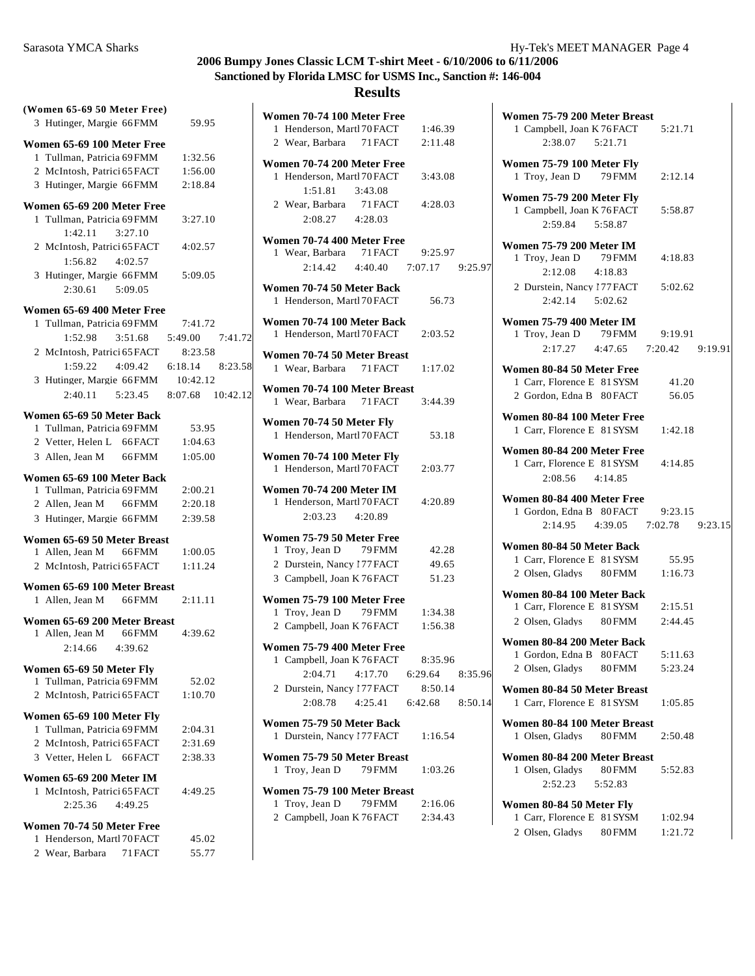| (Women 65-69 50 Meter Free)                                |                                                                        |
|------------------------------------------------------------|------------------------------------------------------------------------|
| 3 Hutinger, Margie 66 FMM                                  | 59.95                                                                  |
| Women 65-69 100 Meter Free                                 |                                                                        |
| 1 Tullman, Patricia 69 FMM                                 | 1:32.56                                                                |
| 2 McIntosh, Patrici 65 FACT                                | 1:56.00                                                                |
| 3 Hutinger, Margie 66 FMM                                  | 2:18.84                                                                |
|                                                            |                                                                        |
| Women 65-69 200 Meter Free<br>1 Tullman, Patricia 69 FMM   | 3:27.10                                                                |
| $1:42.11$ $3:27.10$                                        |                                                                        |
| 2 McIntosh, Patrici 65 FACT                                | 4:02.57                                                                |
| $1:56.82$ $4:02.57$                                        |                                                                        |
| 3 Hutinger, Margie 66 FMM                                  | 5:09.05                                                                |
| 2:30.61 5:09.05                                            |                                                                        |
|                                                            |                                                                        |
| Women 65-69 400 Meter Free                                 |                                                                        |
| 1 Tullman, Patricia 69 FMM 7:41.72                         |                                                                        |
|                                                            | 1:52.98 3:51.68 5:49.00 7:41.72                                        |
|                                                            | 2 McIntosh, Patrici 65 FACT 8:23.58<br>1:59.22 4:09.42 6:18.14 8:23.58 |
|                                                            |                                                                        |
| 3 Hutinger, Margie 66 FMM                                  | 10:42.12                                                               |
|                                                            | $2:40.11$ $5:23.45$ $8:07.68$ $10:42.12$                               |
| Women 65-69 50 Meter Back                                  |                                                                        |
| 1 Tullman, Patricia 69 FMM                                 | 53.95                                                                  |
| 2 Vetter, Helen L 66 FACT                                  | 1:04.63                                                                |
| 3 Allen, Jean M 66 FMM                                     | 1:05.00                                                                |
| Women 65-69 100 Meter Back                                 |                                                                        |
| 1 Tullman, Patricia 69 FMM                                 | 2:00.21                                                                |
| 2 Allen, Jean M 66 FMM                                     | 2:20.18                                                                |
| 3 Hutinger, Margie 66 FMM                                  | 2:39.58                                                                |
|                                                            |                                                                        |
| Women 65-69 50 Meter Breast<br>1 Allen, Jean M 66 FMM      | 1:00.05                                                                |
| 2 McIntosh, Patrici 65 FACT                                | 1:11.24                                                                |
|                                                            |                                                                        |
| Women 65-69 100 Meter Breast                               |                                                                        |
| 1 Allen, Jean M 66 FMM                                     | 2:11.11                                                                |
| Women 65-69 200 Meter Breast                               |                                                                        |
| 1 Allen, Jean M 66FMM                                      | 4:39.62                                                                |
| 2:14.66<br>4:39.62                                         |                                                                        |
| Women 65-69 50 Meter Fly                                   |                                                                        |
| Tullman, Patricia 69 FMM<br>1                              | 52.02                                                                  |
| McIntosh, Patrici 65 FACT<br>$\mathbf{2}$                  | 1:10.70                                                                |
|                                                            |                                                                        |
| Women 65-69 100 Meter Fly<br>Tullman, Patricia 69 FMM<br>1 | 2:04.31                                                                |
| 2 McIntosh, Patrici 65 FACT                                | 2:31.69                                                                |
| 3 Vetter, Helen L 66 FACT                                  | 2:38.33                                                                |
|                                                            |                                                                        |
| Women 65-69 200 Meter IM                                   |                                                                        |
| McIntosh, Patrici 65 FACT<br>1                             | 4:49.25                                                                |
| 2:25.36<br>4:49.25                                         |                                                                        |
| <b>Women 70-74 50 Meter Free</b>                           |                                                                        |
| 1 Henderson, Martl 70 FACT                                 | 45.02                                                                  |
| 2 Wear, Barbara 71 FACT                                    | 55.77                                                                  |

| Women 70-74 100 Meter Free<br>1 Henderson, Martl 70 FACT                         |         | 1:46.39                            |  |
|----------------------------------------------------------------------------------|---------|------------------------------------|--|
| 2 Wear, Barbara 71 FACT                                                          |         | 2:11.48                            |  |
|                                                                                  |         |                                    |  |
| Women 70-74 200 Meter Free                                                       |         |                                    |  |
| 1 Henderson, Martl 70 FACT                                                       |         | 3:43.08                            |  |
| 1:51.81                                                                          | 3:43.08 |                                    |  |
| 2 Wear, Barbara 71 FACT                                                          |         | 4:28.03                            |  |
| 2:08.27 4:28.03                                                                  |         |                                    |  |
| Women 70-74 400 Meter Free                                                       |         |                                    |  |
| 1 Wear, Barbara 71 FACT                                                          |         | 9:25.97                            |  |
|                                                                                  |         | 2:14.42  4:40.40  7:07.17  9:25.97 |  |
| Women 70-74 50 Meter Back<br>1 Henderson, Martl 70 FACT                          |         | 56.73                              |  |
| Women 70-74 100 Meter Back<br>1 Henderson, Martl 70 FACT                         |         | 2:03.52                            |  |
| Women 70-74 50 Meter Breast                                                      |         |                                    |  |
| 1 Wear, Barbara 71 FACT                                                          |         | 1:17.02                            |  |
| Women 70-74 100 Meter Breast<br>1 Wear, Barbara 71 FACT                          |         | 3:44.39                            |  |
| Women 70-74 50 Meter Fly                                                         |         |                                    |  |
| 1 Henderson, Martl 70 FACT                                                       |         | 53.18                              |  |
| Women 70-74 100 Meter Fly<br>1 Henderson, Martl 70 FACT                          |         | 2:03.77                            |  |
| <b>Women 70-74 200 Meter IM</b><br>1 Henderson, Martl 70 FACT<br>2:03.23 4:20.89 |         | 4:20.89                            |  |
| Women 75-79 50 Meter Free                                                        |         |                                    |  |
| Troy, Jean D 79 FMM<br>1                                                         |         | 42.28                              |  |
| 2 Durstein, Nancy 177 FACT                                                       |         | 49.65                              |  |
| 3 Campbell, Joan K 76 FACT                                                       |         | 51.23                              |  |
| Women 75-79 100 Meter Free                                                       |         |                                    |  |
| 1 Troy, Jean D 79 FMM                                                            |         | 1:34.38                            |  |
| 2 Campbell, Joan K 76 FACT                                                       |         | 1:56.38                            |  |
|                                                                                  |         |                                    |  |
| Women 75-79 400 Meter Free<br>1 Campbell, Joan K 76 FACT                         |         | 8:35.96                            |  |
|                                                                                  |         | 2:04.71  4:17.70  6:29.64  8:35.96 |  |
| 2 Durstein, Nancy 177 FACT                                                       |         | 8:50.14                            |  |
|                                                                                  |         | 2:08.78 4:25.41 6:42.68 8:50.14    |  |
|                                                                                  |         |                                    |  |
| Women 75-79 50 Meter Back<br>Durstein, Nancy 177 FACT 1:16.54<br>1.              |         |                                    |  |
| Women 75-79 50 Meter Breast                                                      |         |                                    |  |
| 1 Troy, Jean D 79 FMM                                                            |         | 1:03.26                            |  |
| Women 75-79 100 Meter Breast                                                     |         |                                    |  |
| Troy, Jean D 79 FMM<br>1                                                         |         | 2:16.06                            |  |
| 2 Campbell, Joan K 76 FACT 2:34.43                                               |         |                                    |  |
|                                                                                  |         |                                    |  |

| Women 75-79 200 Meter Breast<br>1 Campbell, Joan K 76 FACT<br>5:21.71<br>2:38.07 5:21.71              |  |
|-------------------------------------------------------------------------------------------------------|--|
| Women 75-79 100 Meter Fly<br>1 Troy, Jean D 79 FMM<br>2:12.14                                         |  |
| Women 75-79 200 Meter Fly<br>1 Campbell, Joan K 76 FACT 5:58.87<br>2:59.84 5:58.87                    |  |
| <b>Women 75-79 200 Meter IM</b><br>1 Troy, Jean D 79 FMM<br>4:18.83<br>2:12.08<br>4:18.83             |  |
| 2 Durstein, Nancy 177 FACT<br>5:02.62<br>$2:42.14$ $5:02.62$                                          |  |
| <b>Women 75-79 400 Meter IM</b><br>1 Troy, Jean D 79 FMM 9:19.91<br>2:17.27 4:47.65 7:20.42 9:19.91   |  |
| Women 80-84 50 Meter Free<br>1 Carr, Florence E 81 SYSM<br>41.20<br>2 Gordon, Edna B 80 FACT<br>56.05 |  |
| Women 80-84 100 Meter Free<br>1 Carr, Florence E 81 SYSM 1:42.18                                      |  |
| Women 80-84 200 Meter Free<br>1 Carr, Florence E 81 SYSM<br>4:14.85<br>2:08.56 4:14.85                |  |
| Women 80-84 400 Meter Free<br>1 Gordon, Edna B 80 FACT 9:23.15<br>2:14.95  4:39.05  7:02.78  9:23.15  |  |
| Women 80-84 50 Meter Back                                                                             |  |
| 1 Carr, Florence E 81 SYSM<br>55.95                                                                   |  |
| 2 Olsen, Gladys 80 FMM<br>1:16.73                                                                     |  |
| Women 80-84 100 Meter Back                                                                            |  |
| 1 Carr, Florence E 81 SYSM 2:15.51                                                                    |  |
| 2 Olsen, Gladys 80 FMM<br>2:44.45                                                                     |  |
| Women 80-84 200 Meter Back                                                                            |  |
| 5:11.63<br>1 Gordon, Edna B 80 FACT                                                                   |  |
| 2 Olsen, Gladys 80 FMM<br>5:23.24                                                                     |  |
| Women 80-84 50 Meter Breast                                                                           |  |
| 1 Carr, Florence E 81 SYSM<br>1:05.85                                                                 |  |
| Women 80-84 100 Meter Breast<br>1 Olsen, Gladys<br>80 FMM<br>2:50.48                                  |  |
| Women 80-84 200 Meter Breast<br>1 Olsen. Gladvs<br><b>80FMM</b><br>5:52.83<br>2:52.23   5:52.83       |  |
| Women 80-84 50 Meter Fly<br>1 Carr, Florence E 81 SYSM<br>1:02.94                                     |  |

2 Olsen, Gladys 80FMM 1:21.72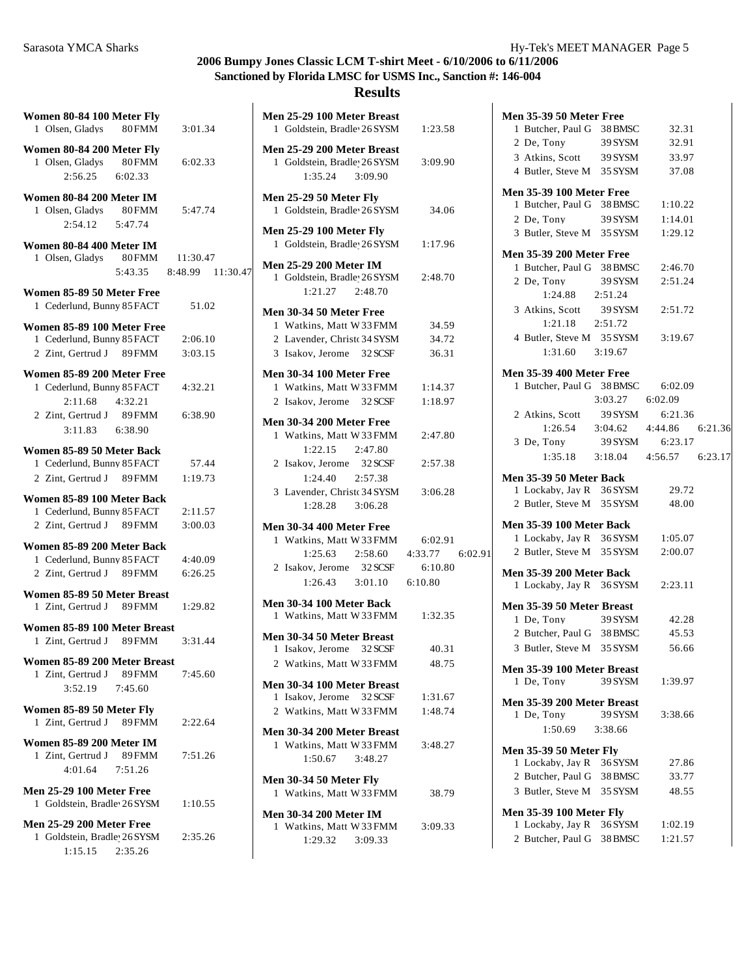#### **Results**

| Women 80-84 100 Meter Fly                                                 |          |                          |  |
|---------------------------------------------------------------------------|----------|--------------------------|--|
| 1 Olsen, Gladys 80 FMM                                                    |          | 3:01.34                  |  |
| Women 80-84 200 Meter Fly<br>1 Olsen, Gladys                              | $80$ FMM | 6:02.33                  |  |
| 2:56.25 6:02.33                                                           |          |                          |  |
| Women 80-84 200 Meter IM<br>1 Olsen, Gladys 80 FMM<br>$2:54.12$ $5:47.74$ |          | 5:47.74                  |  |
| Women 80-84 400 Meter IM                                                  |          |                          |  |
| 1 Olsen, Gladys 80 FMM 11:30.47                                           |          | 5:43.35 8:48.99 11:30.47 |  |
|                                                                           |          |                          |  |
| Women 85-89 50 Meter Free<br>1 Cederlund, Bunny 85 FACT                   |          | 51.02                    |  |
| Women 85-89 100 Meter Free                                                |          |                          |  |
| 1 Cederlund, Bunny 85 FACT                                                |          | 2:06.10                  |  |
| 2 Zint, Gertrud J 89 FMM                                                  |          | 3:03.15                  |  |
|                                                                           |          |                          |  |
| Women 85-89 200 Meter Free                                                |          |                          |  |
| 1 Cederlund, Bunny 85 FACT                                                |          | 4:32.21                  |  |
| 2:11.68 4:32.21                                                           |          |                          |  |
| 2 Zint, Gertrud J 89 FMM                                                  |          | 6:38.90                  |  |
| 3:11.83 6:38.90                                                           |          |                          |  |
| Women 85-89 50 Meter Back                                                 |          |                          |  |
| 1 Cederlund, Bunny 85 FACT                                                |          | 57.44                    |  |
| 2 Zint, Gertrud J 89 FMM                                                  |          | 1:19.73                  |  |
|                                                                           |          |                          |  |
| Women 85-89 100 Meter Back                                                |          |                          |  |
| 1 Cederlund, Bunny 85 FACT 2:11.57                                        |          |                          |  |
| 2 Zint, Gertrud J 89 FMM                                                  |          | 3:00.03                  |  |
| Women 85-89 200 Meter Back                                                |          |                          |  |
| 1 Cederlund, Bunny 85 FACT                                                |          | 4:40.09                  |  |
| 2 Zint. Gertrud J 89 FMM                                                  |          | 6:26.25                  |  |
|                                                                           |          |                          |  |
| Women 85-89 50 Meter Breast                                               |          |                          |  |
| 1 Zint, Gertrud J 89 FMM                                                  |          | 1:29.82                  |  |
| Women 85-89 100 Meter Breast                                              |          |                          |  |
| 1 Zint, Gertrud J 89 FMM                                                  |          | 3:31.44                  |  |
|                                                                           |          |                          |  |
| Women 85-89 200 Meter Breast                                              |          |                          |  |
| 1 Zint, Gertrud J 89 FMM                                                  |          | 7:45.60                  |  |
| 3:52.19 7:45.60                                                           |          |                          |  |
| Women 85-89 50 Meter Fly                                                  |          |                          |  |
| 1 Zint, Gertrud J 89 FMM                                                  |          | 2:22.64                  |  |
|                                                                           |          |                          |  |
| Women 85-89 200 Meter IM                                                  |          |                          |  |
| 1 Zint, Gertrud J 89 FMM                                                  |          | 7:51.26                  |  |
| 4:01.64 7:51.26                                                           |          |                          |  |
|                                                                           |          |                          |  |
| <b>Men 25-29 100 Meter Free</b><br>1 Goldstein, Bradle 26 SYSM            |          | 1:10.55                  |  |
|                                                                           |          |                          |  |
| <b>Men 25-29 200 Meter Free</b>                                           |          |                          |  |
| 1 Goldstein, Bradle 26 SYSM                                               |          | 2:35.26                  |  |
| 1:15.15  2:35.26                                                          |          |                          |  |
|                                                                           |          |                          |  |

| Men 25-29 100 Meter Breast<br>1 Goldstein, Bradle 26 SYSM                           | 1:23.58         |  |
|-------------------------------------------------------------------------------------|-----------------|--|
| Men 25-29 200 Meter Breast<br>1 Goldstein, Bradle 26 SYSM<br>1:35.24 3:09.90        | 3:09.90         |  |
| <b>Men 25-29 50 Meter Fly</b><br>1 Goldstein, Bradle 26 SYSM                        | 34.06           |  |
| <b>Men 25-29 100 Meter Fly</b><br>1 Goldstein, Bradle 26 SYSM                       | 1:17.96         |  |
| <b>Men 25-29 200 Meter IM</b><br>1 Goldstein, Bradle 26 SYSM<br>$1:21.27$ $2:48.70$ | 2:48.70         |  |
| Men 30-34 50 Meter Free                                                             |                 |  |
| 1 Watkins, Matt W 33 FMM                                                            | 34.59           |  |
| 2 Lavender, Christ 34 SYSM                                                          | 34.72           |  |
| 3 Isakov, Jerome 32 SCSF                                                            | 36.31           |  |
| <b>Men 30-34 100 Meter Free</b>                                                     |                 |  |
| 1 Watkins, Matt W 33 FMM                                                            | 1:14.37         |  |
| 2 Isakov, Jerome 32 SCSF                                                            | 1:18.97         |  |
|                                                                                     |                 |  |
| <b>Men 30-34 200 Meter Free</b>                                                     |                 |  |
| 1 Watkins, Matt W33FMM                                                              | 2:47.80         |  |
| $1:22.15$ $2:47.80$                                                                 |                 |  |
| 2 Isakov, Jerome 32 SCSF                                                            | 2:57.38         |  |
| $1:24.40$ $2:57.38$                                                                 |                 |  |
| 3 Lavender, Christ 34 SYSM                                                          | 3:06.28         |  |
| 1:28.28 3:06.28                                                                     |                 |  |
| Men 30-34 400 Meter Free                                                            |                 |  |
| 1 Watkins, Matt W 33 FMM                                                            | 6:02.91         |  |
| $1:25.63$ $2:58.60$                                                                 | 4:33.77 6:02.91 |  |
| 2 Isakov, Jerome 32 SCSF                                                            | 6:10.80         |  |
| $1:26.43$ $3:01.10$ $6:10.80$                                                       |                 |  |
|                                                                                     |                 |  |
| Men 30-34 100 Meter Back                                                            |                 |  |
| 1 Watkins, Matt W 33 FMM 1:32.35                                                    |                 |  |
| Men 30-34 50 Meter Breast                                                           |                 |  |
| 1 Isakov, Jerome 32 SCSF                                                            | 40.31           |  |
| 2 Watkins, Matt W 33 FMM                                                            | 48.75           |  |
| Men 30-34 100 Meter Breast                                                          |                 |  |
| Isakov, Jerome 32 SCSF 1:31.67<br>1                                                 |                 |  |
| 2 Watkins, Matt W 33 FMM 1:48.74                                                    |                 |  |
|                                                                                     |                 |  |
| Men 30-34 200 Meter Breast                                                          |                 |  |
| 1 Watkins, Matt W 33 FMM                                                            | 3:48.27         |  |
| $1:50.67$ $3:48.27$                                                                 |                 |  |
| <b>Men 30-34 50 Meter Fly</b>                                                       |                 |  |
| 1 Watkins, Matt W 33 FMM                                                            | 38.79           |  |
| <b>Men 30-34 200 Meter IM</b>                                                       |                 |  |
| 1 Watkins, Matt W 33 FMM 3:09.33                                                    |                 |  |
|                                                                                     |                 |  |

1:29.32 3:09.33

| Men 35-39 50 Meter Free           |                 |                                 |  |
|-----------------------------------|-----------------|---------------------------------|--|
| 1 Butcher, Paul G 38 BMSC         |                 | 32.31                           |  |
| 2 De, Tony                        | 39 SYSM         | 32.91                           |  |
| 3 Atkins, Scott 39 SYSM           |                 | 33.97                           |  |
| 4 Butler, Steve M 35 SYSM         |                 | 37.08                           |  |
| <b>Men 35-39 100 Meter Free</b>   |                 |                                 |  |
| 1 Butcher, Paul G 38 BMSC         |                 | 1:10.22                         |  |
| 2 De, Tony 39 SYSM                |                 | 1:14.01                         |  |
| 3 Butler, Steve M 35 SYSM         |                 | 1:29.12                         |  |
| <b>Men 35-39 200 Meter Free</b>   |                 |                                 |  |
| 1 Butcher, Paul G 38 BMSC         |                 | 2:46.70                         |  |
| 2 De, Tony 39 SYSM                |                 | 2:51.24                         |  |
| 1:24.88 2:51.24                   |                 |                                 |  |
| 3 Atkins, Scott 39 SYSM 2:51.72   |                 |                                 |  |
| 1:21.18 2:51.72                   |                 |                                 |  |
| 4 Butler, Steve M 35 SYSM         |                 | 3:19.67                         |  |
| 1:31.60 3:19.67                   |                 |                                 |  |
|                                   |                 |                                 |  |
| <b>Men 35-39 400 Meter Free</b>   |                 |                                 |  |
| 1 Butcher, Paul G 38 BMSC 6:02.09 |                 |                                 |  |
|                                   | 3:03.27 6:02.09 |                                 |  |
| 2 Atkins, Scott 39 SYSM 6:21.36   |                 |                                 |  |
|                                   |                 | 1:26.54 3:04.62 4:44.86 6:21.36 |  |
| 3 De, Tony 39 SYSM 6:23.17        |                 |                                 |  |
|                                   |                 | 1:35.18 3:18.04 4:56.57 6:23.17 |  |
| Men 35-39 50 Meter Back           |                 |                                 |  |
| 1 Lockaby, Jay R 36 SYSM          |                 | 29.72                           |  |
| 2 Butler, Steve M 35 SYSM         |                 | 48.00                           |  |
| <b>Men 35-39 100 Meter Back</b>   |                 |                                 |  |
| 1 Lockaby, Jay R 36 SYSM          |                 | 1:05.07                         |  |
| 2 Butler, Steve M 35 SYSM 2:00.07 |                 |                                 |  |
|                                   |                 |                                 |  |
| <b>Men 35-39 200 Meter Back</b>   |                 |                                 |  |
| 1 Lockaby, Jay R 36 SYSM          |                 | 2:23.11                         |  |
| Men 35-39 50 Meter Breast         |                 |                                 |  |
| 1 De, Tony 39 SYSM                |                 | 42.28                           |  |
| 2 Butcher, Paul G 38 BMSC         |                 | 45.53                           |  |
| 3 Butler, Steve M                 | 35 SYSM         | 56.66                           |  |
| Men 35-39 100 Meter Breast        |                 |                                 |  |
| 1 De, Tony                        | 39 SYSM         | 1:39.97                         |  |
|                                   |                 |                                 |  |
| Men 35-39 200 Meter Breast        |                 |                                 |  |
| 1 De, Tony                        | 39 SYSM         | 3:38.66                         |  |
| 1:50.69                           | 3:38.66         |                                 |  |
| <b>Men 35-39 50 Meter Flv</b>     |                 |                                 |  |
| 1 Lockaby, Jay R 36 SYSM          |                 | 27.86                           |  |
| 2 Butcher, Paul G 38 BMSC         |                 | 33.77                           |  |
| 3 Butler, Steve M 35 SYSM         |                 | 48.55                           |  |
| <b>Men 35-39 100 Meter Fly</b>    |                 |                                 |  |
| 1 Lockaby, Jay R 36 SYSM          |                 | 1:02.19                         |  |
| 2 Butcher, Paul G                 | 38 BMSC         | 1:21.57                         |  |
|                                   |                 |                                 |  |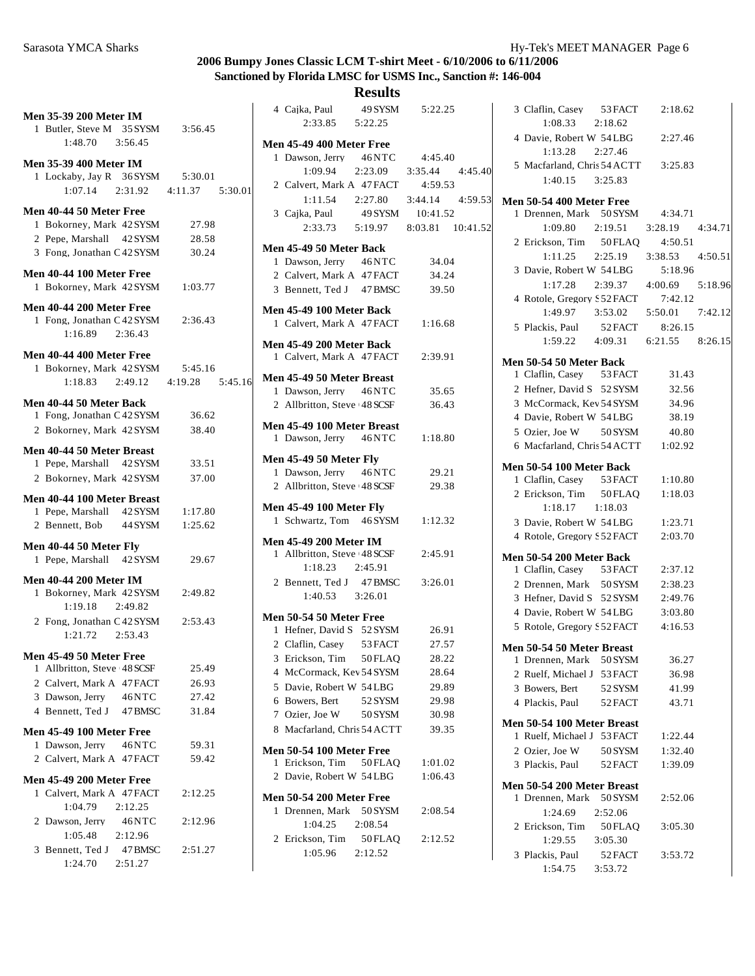| <b>Men 35-39 200 Meter IM</b><br>1 Butler, Steve M 35 SYSM 3:56.45<br>$1:48.70$ $3:56.45$                    |         | ľ |
|--------------------------------------------------------------------------------------------------------------|---------|---|
| <b>Men 35-39 400 Meter IM</b><br>1 Lockaby, Jay R 36 SYSM 5:30.01<br>$1:07.14$ $2:31.92$ $4:11.37$ $5:30.01$ |         |   |
| Men 40-44 50 Meter Free                                                                                      |         |   |
| 1 Bokorney, Mark 42 SYSM                                                                                     | 27.98   |   |
| 2 Pepe. Marshall 42 SYSM                                                                                     | 28.58   |   |
| 3 Fong, Jonathan C 42 SYSM                                                                                   | 30.24   | ľ |
| Men 40-44 100 Meter Free                                                                                     |         |   |
| 1 Bokorney, Mark 42 SYSM 1:03.77                                                                             |         |   |
| Men 40-44 200 Meter Free                                                                                     |         |   |
| 1 Fong, Jonathan C 42 SYSM 2:36.43                                                                           |         | ľ |
| $1:16.89$ $2:36.43$                                                                                          |         |   |
| Men 40-44 400 Meter Free                                                                                     |         | ľ |
| 1 Bokorney, Mark 42 SYSM 5:45.16                                                                             |         |   |
| 1:18.83 2:49.12 4:19.28 5:45.16                                                                              |         | ľ |
|                                                                                                              |         |   |
| Men 40-44 50 Meter Back<br>1 Fong, Jonathan C 42 SYSM                                                        | 36.62   |   |
| 2 Bokorney, Mark 42 SYSM                                                                                     | 38.40   | ľ |
|                                                                                                              |         |   |
| Men 40-44 50 Meter Breast                                                                                    |         | ľ |
| 1 Pepe, Marshall 42 SYSM                                                                                     | 33.51   |   |
| 2 Bokorney, Mark 42 SYSM 37.00                                                                               |         |   |
| Men 40-44 100 Meter Breast                                                                                   |         |   |
| 1 Pepe, Marshall 42 SYSM                                                                                     | 1:17.80 | ľ |
| 2 Bennett, Bob 44 SYSM                                                                                       | 1:25.62 |   |
| Men 40-44 50 Meter Fly                                                                                       |         | ľ |
| 1 Pepe, Marshall 42 SYSM 29.67                                                                               |         |   |
| <b>Men 40-44 200 Meter IM</b>                                                                                |         |   |
| 1 Bokorney, Mark 42 SYSM                                                                                     | 2:49.82 |   |
| $1:19.18$ $2:49.82$                                                                                          |         |   |
| 2 Fong, Jonathan C 42 SYSM                                                                                   | 2:53.43 | ľ |
| $1:21.72$ $2:53.43$                                                                                          |         |   |
| Men 45-49 50 Meter Free                                                                                      |         |   |
| 1 Allbritton, Steve 48 SCSF                                                                                  | 25.49   |   |
| 2 Calvert, Mark A 47 FACT                                                                                    | 26.93   |   |
| 3 Dawson, Jerry 46NTC                                                                                        | 27.42   |   |
| 4 Bennett, Ted J 47 BMSC                                                                                     | 31.84   |   |
| Men 45-49 100 Meter Free                                                                                     |         |   |
| 1 Dawson, Jerry 46NTC                                                                                        | 59.31   | Ŋ |
| 2 Calvert, Mark A 47 FACT                                                                                    | 59.42   |   |
| <b>Men 45-49 200 Meter Free</b>                                                                              |         |   |
| 1 Calvert, Mark A 47 FACT                                                                                    | 2:12.25 | ľ |
| 1:04.79 2:12.25                                                                                              |         |   |
| 2 Dawson, Jerry 46NTC                                                                                        | 2:12.96 |   |
| $1:05.48$ 2:12.96                                                                                            |         |   |
| 3 Bennett, Ted J 47 BMSC                                                                                     | 2:51.27 |   |
| 1:24.70  2:51.27                                                                                             |         |   |

| 4 Cajka, Paul 49 SYSM               |         | 5:22.25                                 |  |
|-------------------------------------|---------|-----------------------------------------|--|
| 2:33.85 5:22.25                     |         |                                         |  |
|                                     |         |                                         |  |
| <b>Men 45-49 400 Meter Free</b>     |         |                                         |  |
| 1 Dawson, Jerry 46NTC 4:45.40       |         |                                         |  |
|                                     |         | 1:09.94  2:23.09  3:35.44  4:45.40      |  |
| 2 Calvert, Mark A 47 FACT 4:59.53   |         |                                         |  |
|                                     |         | $1:11.54$ $2:27.80$ $3:44.14$ $4:59.53$ |  |
| 3 Cajka, Paul 49 SYSM 10:41.52      |         |                                         |  |
|                                     |         | 2:33.73   5:19.97   8:03.81   10:41.52  |  |
| Men 45-49 50 Meter Back             |         |                                         |  |
| 1 Dawson, Jerry 46NTC 34.04         |         |                                         |  |
| 2 Calvert, Mark A 47 FACT 34.24     |         |                                         |  |
| 3 Bennett, Ted J 47 BMSC 39.50      |         |                                         |  |
|                                     |         |                                         |  |
| Men 45-49 100 Meter Back            |         |                                         |  |
| 1 Calvert, Mark A 47 FACT 1:16.68   |         |                                         |  |
| Men 45-49 200 Meter Back            |         |                                         |  |
| 1 Calvert, Mark A 47 FACT 2:39.91   |         |                                         |  |
|                                     |         |                                         |  |
| Men 45-49 50 Meter Breast           |         |                                         |  |
| 1 Dawson, Jerry 46NTC 35.65         |         |                                         |  |
| 2 Allbritton, Steve 48 SCSF         |         | 36.43                                   |  |
| Men 45-49 100 Meter Breast          |         |                                         |  |
| 1 Dawson, Jerry 46NTC 1:18.80       |         |                                         |  |
|                                     |         |                                         |  |
| <b>Men 45-49 50 Meter Fly</b>       |         |                                         |  |
| 1 Dawson, Jerry 46NTC               |         | 29.21                                   |  |
| 2 Allbritton, Steve 48 SCSF         |         | 29.38                                   |  |
| <b>Men 45-49 100 Meter Fly</b>      |         |                                         |  |
| 1 Schwartz, Tom 46 SYSM 1:12.32     |         |                                         |  |
|                                     |         |                                         |  |
| <b>Men 45-49 200 Meter IM</b>       |         |                                         |  |
| 1 Allbritton, Steve 48 SCSF 2:45.91 |         |                                         |  |
| 1:18.23  2:45.91                    |         |                                         |  |
| 2 Bennett, Ted J 47 BMSC 3:26.01    |         |                                         |  |
| 1:40.53 3:26.01                     |         |                                         |  |
| Men 50-54 50 Meter Free             |         |                                         |  |
| 1 Hefner, David S 52 SYSM 26.91     |         |                                         |  |
| 2 Claflin, Casey 53 FACT 27.57      |         |                                         |  |
| 3 Erickson, Tim                     | 50 FLAQ | 28.22                                   |  |
| 4 McCormack, Kev 54 SYSM            |         | 28.64                                   |  |
| 5 Davie, Robert W 54LBG             |         | 29.89                                   |  |
| 6 Bowers, Bert                      | 52 SYSM | 29.98                                   |  |
| 7 Ozier, Joe W                      | 50 SYSM | 30.98                                   |  |
| 8 Macfarland, Chris 54 ACTT         |         | 39.35                                   |  |
|                                     |         |                                         |  |
| <b>Men 50-54 100 Meter Free</b>     |         |                                         |  |
| 1 Erickson, Tim 50FLAQ              |         | 1:01.02                                 |  |
| 2 Davie, Robert W 54LBG             |         | 1:06.43                                 |  |
| <b>Men 50-54 200 Meter Free</b>     |         |                                         |  |
| 1 Drennen, Mark 50 SYSM             |         | 2:08.54                                 |  |
| 1:04.25                             | 2:08.54 |                                         |  |
| 2 Erickson, Tim                     | 50 FLAQ | 2:12.52                                 |  |
| 1:05.96 2:12.52                     |         |                                         |  |
|                                     |         |                                         |  |
|                                     |         |                                         |  |

|       | 3 Claflin, Casey 53 FACT<br>$1:08.33$ $2:18.62$            | 2:18.62 |  |
|-------|------------------------------------------------------------|---------|--|
|       | 4 Davie, Robert W 54LBG                                    | 2:27.46 |  |
|       | 1:13.28 2:27.46                                            |         |  |
| 45.40 | 5 Macfarland, Chris 54 ACTT 3:25.83<br>$1:40.15$ $3:25.83$ |         |  |
| 59.53 | <b>Men 50-54 400 Meter Free</b>                            |         |  |
|       | 1 Drennen, Mark 50 SYSM 4:34.71                            |         |  |
| 41.52 | 1:09.80  2:19.51  3:28.19  4:34.71                         |         |  |
|       | 2 Erickson, Tim 50FLAQ                                     | 4:50.51 |  |
|       | $1:11.25$ $2:25.19$ $3:38.53$ $4:50.51$                    |         |  |
|       | 3 Davie, Robert W 54LBG                                    | 5:18.96 |  |
|       | 1:17.28 2:39.37 4:00.69 5:18.96                            |         |  |
|       | 4 Rotole, Gregory S 52 FACT                                | 7:42.12 |  |
|       | 1:49.97   3:53.02   5:50.01   7:42.12                      |         |  |
|       | 5 Plackis, Paul 52 FACT 8:26.15                            |         |  |
|       | $1:59.22$ $4:09.31$ $6:21.55$ $8:26.15$                    |         |  |
|       |                                                            |         |  |
|       | Men 50-54 50 Meter Back                                    |         |  |
|       | 1 Claflin, Casey 53 FACT                                   | 31.43   |  |
|       | 2 Hefner, David S 52 SYSM                                  | 32.56   |  |
|       | 3 McCormack, Kev 54 SYSM                                   | 34.96   |  |
|       | 4 Davie, Robert W 54LBG                                    | 38.19   |  |
|       | 5 Ozier, Joe W 50 SYSM                                     | 40.80   |  |
|       | 6 Macfarland, Chris 54 ACTT 1:02.92                        |         |  |
|       | Men 50-54 100 Meter Back                                   |         |  |
|       | 1 Claflin, Casey 53 FACT 1:10.80                           |         |  |
|       | 2 Erickson, Tim 50 FLAQ 1:18.03                            |         |  |
|       | $1:18.17$ $1:18.03$                                        |         |  |
|       | 3 Davie, Robert W 54LBG                                    | 1:23.71 |  |
|       | 4 Rotole, Gregory S 52 FACT                                | 2:03.70 |  |
|       | Men 50-54 200 Meter Back                                   |         |  |
|       | 1 Claflin, Casey 53 FACT                                   | 2:37.12 |  |
|       | 2 Drennen, Mark 50 SYSM 2:38.23                            |         |  |
|       | 3 Hefner, David S 52 SYSM 2:49.76                          |         |  |
|       | 4 Davie, Robert W 54LBG 3:03.80                            |         |  |
|       | 5 Rotole, Gregory S 52 FACT 4:16.53                        |         |  |
|       | Men 50-54 50 Meter Breast                                  |         |  |
|       | 1 Drennen, Mark 50 SYSM                                    | 36.27   |  |
|       | 2 Ruelf, Michael J 53 FACT                                 | 36.98   |  |
|       | 3 Bowers, Bert<br>52 SYSM                                  | 41.99   |  |
|       | 4 Plackis, Paul 52 FACT                                    | 43.71   |  |
|       | Men 50-54 100 Meter Breast                                 |         |  |
|       | 1 Ruelf, Michael J 53 FACT                                 | 1:22.44 |  |
|       | 2 Ozier, Joe W 50 SYSM                                     | 1:32.40 |  |
|       | 3 Plackis, Paul 52 FACT                                    | 1:39.09 |  |
|       | Men 50-54 200 Meter Breast                                 |         |  |
|       | 1 Drennen, Mark 50 SYSM                                    | 2:52.06 |  |
|       | 1:24.69<br>2:52.06                                         |         |  |
|       | 2 Erickson, Tim 50FLAQ                                     | 3:05.30 |  |
|       | 1:29.55<br>3:05.30                                         |         |  |
|       | 3 Plackis, Paul<br>52 FACT                                 | 3:53.72 |  |
|       | 1:54.75   3:53.72                                          |         |  |
|       |                                                            |         |  |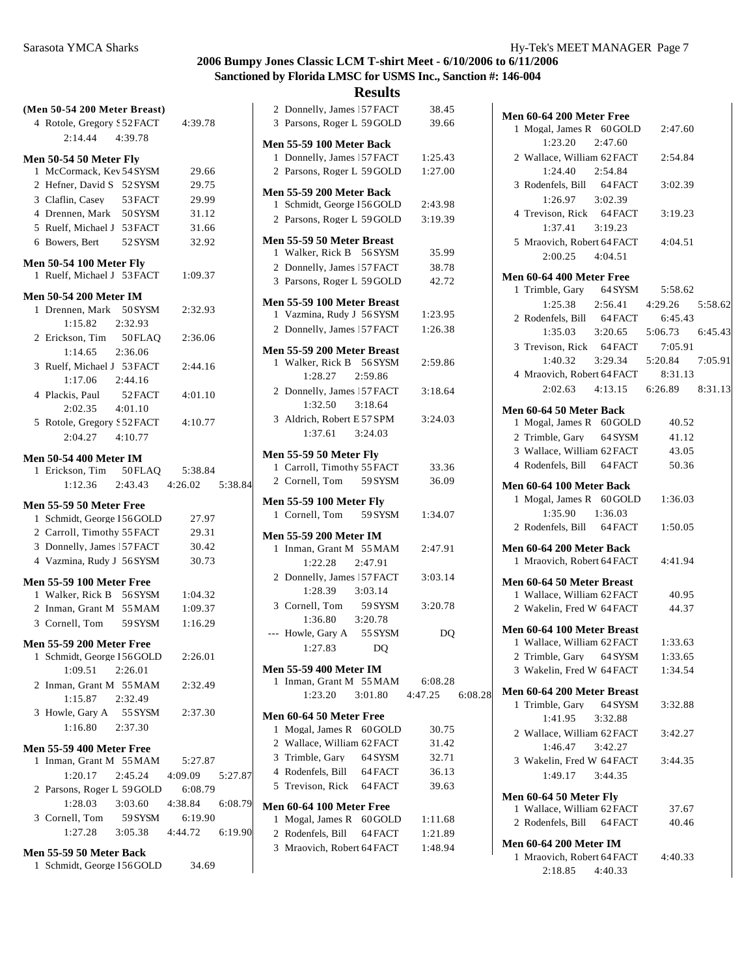| (Men 50-54 200 Meter Breast)                                |                         | 2 D             |
|-------------------------------------------------------------|-------------------------|-----------------|
| 4 Rotole, Gregory § 52 FACT                                 | 4:39.78                 | 3P <sub>i</sub> |
| 2:14.44 4:39.78                                             |                         | Men 5           |
|                                                             |                         | 1 D             |
| Men 50-54 50 Meter Fly<br>1 McCormack, Kev 54 SYSM          | 29.66                   | $2$ P           |
| 2 Hefner, David S 52 SYSM                                   | 29.75                   |                 |
| 3 Claflin, Casey 53 FACT                                    | 29.99                   | Men 5           |
| 4 Drennen, Mark 50 SYSM                                     | 31.12                   | $1 \text{S}$    |
| 5 Ruelf, Michael J 53 FACT                                  | 31.66                   | $2$ P           |
| 6 Bowers, Bert<br>52 SYSM                                   | 32.92                   | Men 5           |
|                                                             |                         | 1 W             |
| <b>Men 50-54 100 Meter Fly</b>                              |                         | 2D              |
| 1 Ruelf, Michael J 53 FACT                                  | 1:09.37                 | 3 P             |
| <b>Men 50-54 200 Meter IM</b>                               |                         | Men 5           |
| 1 Drennen, Mark 50 SYSM                                     | 2:32.93                 | $1 \mathrm{V}$  |
| 1:15.82<br>2:32.93                                          |                         | 2D              |
| 2 Erickson, Tim 50FLAQ                                      | 2:36.06                 |                 |
| 1:14.65<br>2:36.06                                          |                         | Men 5           |
| 3 Ruelf, Michael J 53 FACT                                  | 2:44.16                 | 1 W             |
| $1:17.06$ $2:44.16$                                         |                         |                 |
| 4 Plackis, Paul<br>52 FACT                                  | 4:01.10                 | 2 D             |
| $2:02.35$ $4:01.10$                                         |                         |                 |
| 5 Rotole, Gregory S 52 FACT                                 | 4:10.77                 | 3A              |
| $2:04.27$ $4:10.77$                                         |                         |                 |
| <b>Men 50-54 400 Meter IM</b>                               |                         | Men 5           |
| 1 Erickson, Tim 50FLAQ                                      | 5:38.84                 | 1 C             |
| 1:12.36                                                     | 2:43.43 4:26.02 5:38.84 | 2 C             |
|                                                             |                         |                 |
|                                                             |                         |                 |
| <b>Men 55-59 50 Meter Free</b>                              |                         | Men 5<br>1 C    |
| 1 Schmidt, George 156 GOLD                                  | 27.97                   |                 |
| 2 Carroll, Timothy 55 FACT                                  | 29.31                   | Men 5           |
| 3 Donnelly, James 57 FACT                                   | 30.42                   | 1 In            |
| 4 Vazmina, Rudy J 56 SYSM                                   | 30.73                   |                 |
| <b>Men 55-59 100 Meter Free</b>                             |                         | 2D              |
| 1 Walker, Rick B 56 SYSM                                    | 1:04.32                 |                 |
| 2 Inman, Grant M 55 MAM                                     | 1:09.37                 | $3\,C$          |
| 3 Cornell, Tom 59 SYSM                                      | 1:16.29                 |                 |
| <b>Men 55-59 200 Meter Free</b>                             |                         | --- H           |
| 1 Schmidt, George 156 GOLD                                  | 2:26.01                 |                 |
| 1:09.51<br>2:26.01                                          |                         | Men 5           |
| 2 Inman, Grant M 55 MAM                                     | 2:32.49                 | 1 In            |
| 2:32.49<br>1:15.87                                          |                         |                 |
| 3 Howle, Gary A 55 SYSM                                     | 2:37.30                 | Men 6           |
| 1:16.80<br>2:37.30                                          |                         | 1 M             |
| <b>Men 55-59 400 Meter Free</b>                             |                         | 2 W             |
| 1 Inman, Grant M 55 MAM                                     | 5:27.87                 | 3T              |
| 1:20.17<br>2:45.24                                          | 4:09.09 5:27.87         | 4 R             |
| 2 Parsons, Roger L 59 GOLD                                  | 6:08.79                 | 5T              |
| 1:28.03<br>3:03.60                                          | 4:38.84 6:08.79         |                 |
|                                                             | 6:19.90                 | Men 6<br>1 M    |
| 3 Cornell, Tom 59 SYSM<br>1:27.28 3:05.38 4:44.72 6:19.90   |                         | 2 R             |
|                                                             |                         | 3 <sub>M</sub>  |
| Men 55-59 50 Meter Back<br>1 Schmidt, George 156 GOLD 34.69 |                         |                 |

|              |                                                                 | 2 Donnelly, James 57 FACT | 38.45     |         |
|--------------|-----------------------------------------------------------------|---------------------------|-----------|---------|
|              | 3 Parsons, Roger L 59 GOLD                                      |                           | 39.66     |         |
|              |                                                                 |                           |           |         |
|              | <b>Men 55-59 100 Meter Back</b>                                 |                           |           |         |
|              | 1 Donnelly, James 57 FACT                                       |                           | 1:25.43   |         |
|              | 2 Parsons, Roger L 59 GOLD 1:27.00                              |                           |           |         |
|              | <b>Men 55-59 200 Meter Back</b>                                 |                           |           |         |
|              | 1 Schmidt, George 156 GOLD 2:43.98                              |                           |           |         |
|              | 2 Parsons, Roger L 59 GOLD 3:19.39                              |                           |           |         |
|              |                                                                 |                           |           |         |
|              | Men 55-59 50 Meter Breast                                       |                           |           |         |
|              | 1 Walker, Rick B 56 SYSM                                        |                           | 35.99     |         |
|              | 2 Donnelly, James 57 FACT                                       |                           | 38.78     |         |
|              | 3 Parsons, Roger L 59 GOLD                                      |                           | 42.72     |         |
|              |                                                                 |                           |           |         |
|              | Men 55-59 100 Meter Breast<br>1 Vazmina, Rudy J 56 SYSM 1:23.95 |                           |           |         |
|              |                                                                 |                           |           |         |
|              | 2 Donnelly, James 57 FACT 1:26.38                               |                           |           |         |
|              | Men 55-59 200 Meter Breast                                      |                           |           |         |
|              | 1 Walker, Rick B 56 SYSM                                        |                           | 2:59.86   |         |
|              | 1:28.27                                                         | 2:59.86                   |           |         |
|              | 2 Donnelly, James 57 FACT                                       |                           | 3:18.64   |         |
|              | 1:32.50 3:18.64                                                 |                           |           |         |
|              | 3 Aldrich, Robert E 57 SPM                                      |                           | 3:24.03   |         |
|              | 1:37.61 3:24.03                                                 |                           |           |         |
|              |                                                                 |                           |           |         |
|              | <b>Men 55-59 50 Meter Fly</b>                                   |                           |           |         |
|              | 1 Carroll, Timothy 55 FACT                                      |                           | 33.36     |         |
|              | 2 Cornell, Tom 59 SYSM                                          |                           | 36.09     |         |
|              | <b>Men 55-59 100 Meter Fly</b>                                  |                           |           |         |
|              | 1 Cornell, Tom 59 SYSM                                          |                           | 1:34.07   |         |
|              |                                                                 |                           |           |         |
|              | <b>Men 55-59 200 Meter IM</b>                                   |                           |           |         |
|              |                                                                 |                           |           |         |
|              | 1 Inman, Grant M 55 MAM                                         |                           | 2:47.91   |         |
|              | 1:22.28 2:47.91                                                 |                           |           |         |
|              | 2 Donnelly, James 57 FACT                                       |                           | 3:03.14   |         |
|              | 1:28.39 3:03.14                                                 |                           |           |         |
|              | 3 Cornell, Tom 59 SYSM                                          |                           | 3:20.78   |         |
|              | $1:36.80$ $3:20.78$                                             |                           |           |         |
|              | --- Howle, Gary A 55 SYSM                                       |                           | <b>DQ</b> |         |
|              | 1:27.83                                                         | <b>DQ</b>                 |           |         |
|              |                                                                 |                           |           |         |
|              | <b>Men 55-59 400 Meter IM</b>                                   |                           |           |         |
| 1            | Inman, Grant M 55 MAM                                           |                           | 6:08.28   |         |
|              | 1:23.20                                                         | 3:01.80                   | 4:47.25   | 6:08.28 |
|              | <b>Men 60-64 50 Meter Free</b>                                  |                           |           |         |
|              | 1 Mogal, James R 60 GOLD                                        |                           | 30.75     |         |
|              | 2 Wallace, William 62 FACT                                      |                           | 31.42     |         |
|              | 3 Trimble, Gary                                                 | 64 SYSM                   | 32.71     |         |
|              | 4 Rodenfels, Bill 64 FACT                                       |                           | 36.13     |         |
|              | 5 Trevison, Rick 64 FACT                                        |                           | 39.63     |         |
|              |                                                                 |                           |           |         |
|              | Men 60-64 100 Meter Free                                        |                           |           |         |
| $\mathbf{1}$ | Mogal, James R 60 GOLD                                          |                           | 1:11.68   |         |
|              | 2 Rodenfels, Bill 64 FACT                                       |                           | 1:21.89   |         |
|              | 3 Mraovich, Robert 64 FACT                                      |                           | 1:48.94   |         |

| Men 60-64 200 Meter Free                                      |         |  |
|---------------------------------------------------------------|---------|--|
| 1 Mogal, James R 60 GOLD 2:47.60                              |         |  |
| 1:23.20 2:47.60                                               |         |  |
| 2 Wallace, William 62 FACT                                    | 2:54.84 |  |
| 1:24.40 2:54.84<br>3 Rodenfels, Bill 64 FACT                  | 3:02.39 |  |
| 1:26.97 3:02.39                                               |         |  |
| 4 Trevison, Rick 64 FACT                                      | 3:19.23 |  |
| $1:37.41$ $3:19.23$                                           |         |  |
| 5 Mraovich, Robert 64 FACT                                    | 4:04.51 |  |
| $2:00.25$ $4:04.51$                                           |         |  |
|                                                               |         |  |
| Men 60-64 400 Meter Free                                      | 5:58.62 |  |
| 1 Trimble, Gary 64 SYSM<br>1:25.38  2:56.41  4:29.26  5:58.62 |         |  |
| 2 Rodenfels, Bill<br>64 FACT                                  | 6:45.43 |  |
| $1:35.03$ $3:20.65$ $5:06.73$ $6:45.43$                       |         |  |
| 3 Trevison, Rick 64 FACT                                      | 7:05.91 |  |
| $1:40.32$ $3:29.34$ $5:20.84$ $7:05.91$                       |         |  |
| 4 Mraovich, Robert 64 FACT 8:31.13                            |         |  |
| 2:02.63 4:13.15 6:26.89 8:31.13                               |         |  |
| Men 60-64 50 Meter Back                                       |         |  |
| 1 Mogal, James R 60 GOLD                                      | 40.52   |  |
| 2 Trimble, Gary 64 SYSM                                       | 41.12   |  |
| 3 Wallace, William 62 FACT                                    | 43.05   |  |
| 4 Rodenfels, Bill 64 FACT                                     | 50.36   |  |
| Men 60-64 100 Meter Back                                      |         |  |
| 1 Mogal, James R 60 GOLD 1:36.03                              |         |  |
| 1:35.90 1:36.03                                               |         |  |
| 2 Rodenfels, Bill 64 FACT                                     | 1:50.05 |  |
|                                                               |         |  |
| Men 60-64 200 Meter Back<br>1 Mraovich, Robert 64 FACT        | 4:41.94 |  |
|                                                               |         |  |
| Men 60-64 50 Meter Breast                                     |         |  |
| 1 Wallace, William 62 FACT                                    | 40.95   |  |
| 2 Wakelin, Fred W 64 FACT                                     | 44.37   |  |
| Men 60-64 100 Meter Breast                                    |         |  |
| 1 Wallace, William 62 FACT                                    | 1:33.63 |  |
| 2 Trimble, Gary 64 SYSM                                       | 1:33.65 |  |
| 3 Wakelin, Fred W 64 FACT                                     | 1:34.54 |  |
| Men 60-64 200 Meter Breast                                    |         |  |
| 1 Trimble, Gary<br>64 SYSM                                    | 3:32.88 |  |
| 1:41.95<br>3:32.88                                            |         |  |
| 2 Wallace, William 62 FACT                                    | 3:42.27 |  |
| $1:46.47$ $3:42.27$                                           |         |  |
| 3 Wakelin, Fred W 64 FACT                                     | 3:44.35 |  |
| $1:49.17$ $3:44.35$                                           |         |  |
| Men 60-64 50 Meter Fly                                        |         |  |
| 1 Wallace, William 62 FACT                                    | 37.67   |  |
| 2 Rodenfels, Bill 64 FACT                                     | 40.46   |  |
| <b>Men 60-64 200 Meter IM</b>                                 |         |  |
| 1 Mraovich, Robert 64 FACT                                    | 4:40.33 |  |
| 2:18.85 4:40.33                                               |         |  |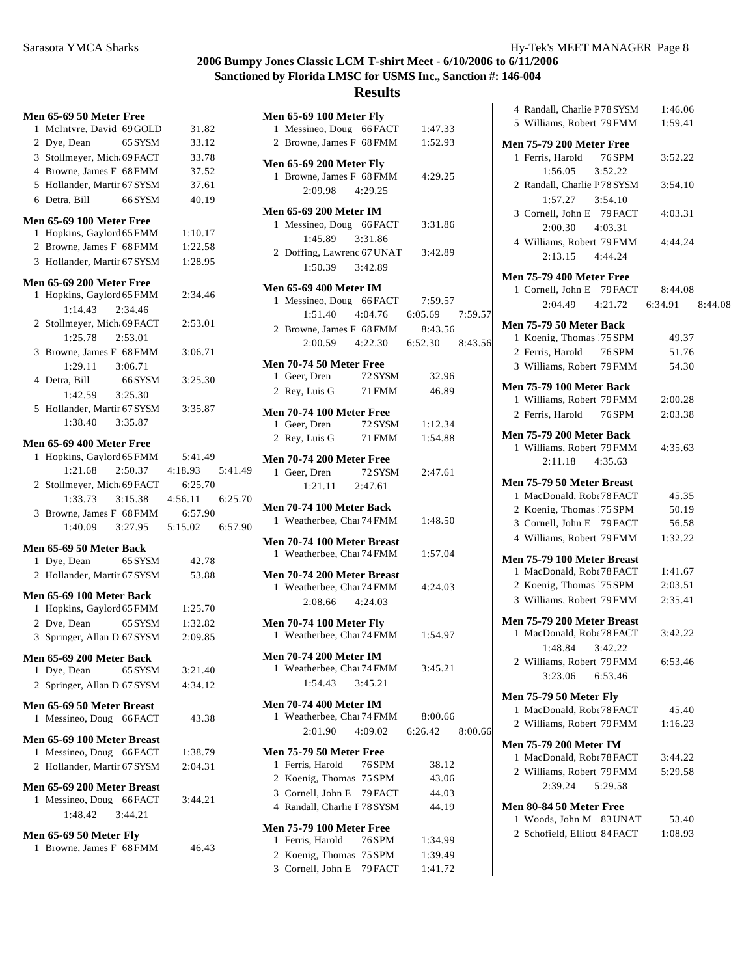## **Results**

|  | Men 65-69 50 Meter Free                                     |         |         |  |
|--|-------------------------------------------------------------|---------|---------|--|
|  | 1 McIntyre, David 69 GOLD                                   |         | 31.82   |  |
|  | 2 Dye, Dean                                                 | 65 SYSM | 33.12   |  |
|  | 3 Stollmeyer, Mich 69 FACT                                  |         | 33.78   |  |
|  | 4 Browne, James F 68 FMM                                    |         | 37.52   |  |
|  | 5 Hollander, Martir 67 SYSM                                 |         | 37.61   |  |
|  | 6 Detra, Bill 66 SYSM                                       |         | 40.19   |  |
|  | <b>Men 65-69 100 Meter Free</b>                             |         |         |  |
|  | 1 Hopkins, Gaylord 65 FMM                                   |         | 1:10.17 |  |
|  | 2 Browne, James F 68 FMM                                    |         | 1:22.58 |  |
|  | 3 Hollander, Martii 67 SYSM                                 |         | 1:28.95 |  |
|  |                                                             |         |         |  |
|  | <b>Men 65-69 200 Meter Free</b>                             |         |         |  |
|  | 1 Hopkins, Gaylord 65 FMM                                   |         | 2:34.46 |  |
|  | 1:14.43 2:34.46<br>2 Stollmeyer, Mich 69 FACT               |         |         |  |
|  | 1:25.78 2:53.01                                             |         | 2:53.01 |  |
|  | 3 Browne, James F 68 FMM                                    |         | 3:06.71 |  |
|  | 1:29.11 3:06.71                                             |         |         |  |
|  | 4 Detra, Bill                                               | 66 SYSM | 3:25.30 |  |
|  | $1:42.59$ $3:25.30$                                         |         |         |  |
|  | 5 Hollander, Martii 67 SYSM                                 |         | 3:35.87 |  |
|  | 1:38.40 3:35.87                                             |         |         |  |
|  |                                                             |         |         |  |
|  | <b>Men 65-69 400 Meter Free</b>                             |         |         |  |
|  | 1 Hopkins, Gaylord 65 FMM                                   |         | 5:41.49 |  |
|  | $1:21.68$ $2:50.37$ $4:18.93$ $5:41.49$                     |         |         |  |
|  | 2 Stollmeyer, Mich 69 FACT                                  |         | 6:25.70 |  |
|  | $1:33.73$ $3:15.38$ $4:56.11$ $6:25.70$                     |         |         |  |
|  | 3 Browne, James F 68 FMM<br>1:40.09 3:27.95 5:15.02 6:57.90 |         | 6:57.90 |  |
|  |                                                             |         |         |  |
|  | Men 65-69 50 Meter Back                                     |         |         |  |
|  | 1 Dye, Dean 65 SYSM                                         |         | 42.78   |  |
|  | 2 Hollander, Martii 67 SYSM                                 |         | 53.88   |  |
|  | Men 65-69 100 Meter Back                                    |         |         |  |
|  | 1 Hopkins, Gaylord 65 FMM 1:25.70                           |         |         |  |
|  | 2 Dye, Dean                                                 | 65 SYSM | 1:32.82 |  |
|  | 3 Springer, Allan D 67 SYSM                                 |         | 2:09.85 |  |
|  | Men 65-69 200 Meter Back                                    |         |         |  |
|  | 1 Dye, Dean                                                 | 65 SYSM | 3:21.40 |  |
|  | 2 Springer, Allan D 67 SYSM                                 |         | 4:34.12 |  |
|  |                                                             |         |         |  |
|  | Men 65-69 50 Meter Breast<br>1 Messineo, Doug 66 FACT       |         | 43.38   |  |
|  |                                                             |         |         |  |
|  | Men 65-69 100 Meter Breast                                  |         |         |  |
|  | 1 Messineo, Doug 66 FACT                                    |         | 1:38.79 |  |
|  | 2 Hollander, Martii 67 SYSM                                 |         | 2:04.31 |  |
|  | Men 65-69 200 Meter Breast                                  |         |         |  |
|  | 1 Messineo, Doug 66 FACT                                    |         | 3:44.21 |  |
|  | 1:48.42   3:44.21                                           |         |         |  |
|  | Men 65-69 50 Meter Fly                                      |         |         |  |
|  | 1 Browne, James F 68 FMM                                    |         | 46.43   |  |
|  |                                                             |         |         |  |

| <b>Men 65-69 100 Meter Fly</b>                               |                |         |
|--------------------------------------------------------------|----------------|---------|
| 1 Messineo, Doug 66 FACT 1:47.33                             |                |         |
| 2 Browne, James F 68 FMM 1:52.93                             |                |         |
| <b>Men 65-69 200 Meter Fly</b>                               |                |         |
| 1 Browne, James F 68 FMM                                     | 4:29.25        |         |
| 2:09.98 4:29.25                                              |                |         |
|                                                              |                |         |
| <b>Men 65-69 200 Meter IM</b>                                |                |         |
| 1 Messineo, Doug 66 FACT 3:31.86                             |                |         |
| 1:45.89<br>3:31.86                                           |                |         |
| 2 Doffing, Lawrenc 67 UNAT 3:42.89                           |                |         |
| 1:50.39 3:42.89                                              |                |         |
| <b>Men 65-69 400 Meter IM</b>                                |                |         |
| 1 Messineo, Doug 66 FACT 7:59.57                             |                |         |
| 1:51.40  4:04.76  6:05.69  7:59.57                           |                |         |
| 2 Browne, James F 68 FMM                                     | 8:43.56        |         |
| 2:00.59 4:22.30 6:52.30 8:43.56                              |                |         |
|                                                              |                |         |
| <b>Men 70-74 50 Meter Free</b>                               |                |         |
| 1 Geer, Dren<br>72 SYSM                                      | 32.96          |         |
| 2 Rey, Luis G 71 FMM                                         | 46.89          |         |
| <b>Men 70-74 100 Meter Free</b>                              |                |         |
| 1 Geer, Dren 72 SYSM 1:12.34                                 |                |         |
| 2 Rey, Luis G 71 FMM                                         | 1:54.88        |         |
|                                                              |                |         |
| <b>Men 70-74 200 Meter Free</b>                              |                |         |
| 1 Geer, Dren 72 SYSM                                         | 2:47.61        |         |
| $1:21.11$ $2:47.61$                                          |                |         |
| <b>Men 70-74 100 Meter Back</b>                              |                |         |
| 1 Weatherbee, Chai 74 FMM 1:48.50                            |                |         |
|                                                              |                |         |
| Men 70-74 100 Meter Breast<br>1 Weatherbee, Chai 74 FMM      | 1:57.04        |         |
|                                                              |                |         |
| Men 70-74 200 Meter Breast                                   |                |         |
| 1 Weatherbee, Chai 74 FMM 4:24.03                            |                |         |
| 2:08.66 4:24.03                                              |                |         |
| <b>Men 70-74 100 Meter Fly</b>                               |                |         |
| 1 Weatherbee, Chai 74 FMM                                    | 1:54.97        |         |
|                                                              |                |         |
| <b>Men 70-74 200 Meter IM</b>                                |                |         |
| 1 Weatherbee, Chai 74 FMM                                    | 3:45.21        |         |
| $1:54.43$ $3:45.21$                                          |                |         |
| <b>Men 70-74 400 Meter IM</b>                                |                |         |
| 1 Weatherbee, Chai 74 FMM                                    | 8:00.66        |         |
| 2:01.90 4:09.02 6:26.42                                      |                | 8:00.66 |
|                                                              |                |         |
| <b>Men 75-79 50 Meter Free</b><br>1 Ferris, Harold<br>76 SPM |                |         |
| 2 Koenig, Thomas 75 SPM                                      | 38.12<br>43.06 |         |
|                                                              |                |         |
| 3 Cornell, John E 79 FACT                                    | 44.03          |         |
| 4 Randall, Charlie F 78 SYSM                                 | 44.19          |         |
| <b>Men 75-79 100 Meter Free</b>                              |                |         |
| 1 Ferris, Harold<br>76 SPM                                   | 1:34.99        |         |
| 2 Koenig, Thomas 75 SPM                                      | 1:39.49        |         |

3 Cornell, John E 79FACT 1:41.72

| 4 Randall, Charlie F 78 SYSM                            | 1:46.06 |  |
|---------------------------------------------------------|---------|--|
| 5 Williams, Robert 79 FMM                               | 1:59.41 |  |
| <b>Men 75-79 200 Meter Free</b>                         |         |  |
| 1 Ferris, Harold 76 SPM                                 | 3:52.22 |  |
| $1:56.05$ $3:52.22$                                     |         |  |
| 2 Randall, Charlie F 78 SYSM                            | 3:54.10 |  |
|                                                         |         |  |
| 3 Cornell, John E 79 FACT                               | 4:03.31 |  |
| 2:00.30 4:03.31                                         |         |  |
| 4 Williams, Robert 79 FMM                               |         |  |
| 2:13.15 4:44.24                                         | 4:44.24 |  |
|                                                         |         |  |
| <b>Men 75-79 400 Meter Free</b>                         |         |  |
| 1 Cornell, John E 79 FACT 8:44.08                       |         |  |
| 2:04.49  4:21.72  6:34.91  8:44.08                      |         |  |
| Men 75-79 50 Meter Back                                 |         |  |
| 1 Koenig, Thomas 75 SPM                                 | 49.37   |  |
| 2 Ferris, Harold 76SPM                                  | 51.76   |  |
| 3 Williams, Robert 79 FMM                               | 54.30   |  |
|                                                         |         |  |
| <b>Men 75-79 100 Meter Back</b>                         |         |  |
| 1 Williams, Robert 79 FMM 2:00.28                       |         |  |
| 2 Ferris, Harold 76SPM                                  | 2:03.38 |  |
| <b>Men 75-79 200 Meter Back</b>                         |         |  |
| 1 Williams, Robert 79 FMM                               | 4:35.63 |  |
| 2:11.18 4:35.63                                         |         |  |
|                                                         |         |  |
| Men 75-79 50 Meter Breast                               |         |  |
| 1 MacDonald, Robt 78 FACT                               | 45.35   |  |
| 2 Koenig, Thomas 75 SPM                                 | 50.19   |  |
| 3 Cornell, John E 79 FACT                               | 56.58   |  |
| 4 Williams, Robert 79 FMM                               | 1:32.22 |  |
| Men 75-79 100 Meter Breast                              |         |  |
| 1 MacDonald, Rob(78 FACT                                | 1:41.67 |  |
| 2 Koenig, Thomas 75 SPM                                 | 2:03.51 |  |
| 3 Williams, Robert 79 FMM                               | 2:35.41 |  |
|                                                         |         |  |
| Men 75-79 200 Meter Breast<br>1 MacDonald, Robt 78 FACT | 3:42.22 |  |
| 1:48.84 3:42.22                                         |         |  |
| 2 Williams, Robert 79FMM                                | 6:53.46 |  |
| 3:23.06<br>6:53.46                                      |         |  |
|                                                         |         |  |
| <b>Men 75-79 50 Meter Fly</b>                           |         |  |
| 1 MacDonald, Robt 78 FACT                               | 45.40   |  |
| 2 Williams, Robert 79 FMM                               | 1:16.23 |  |
| <b>Men 75-79 200 Meter IM</b>                           |         |  |
| 1 MacDonald, Robe 78 FACT                               | 3:44.22 |  |
| 2 Williams, Robert 79 FMM                               | 5:29.58 |  |
| 2:39.24 5:29.58                                         |         |  |
|                                                         |         |  |
| Men 80-84 50 Meter Free                                 |         |  |
| 1 Woods, John M 83 UNAT                                 | 53.40   |  |
| 2 Schofield, Elliott 84 FACT                            | 1:08.93 |  |